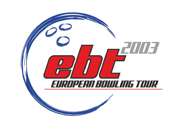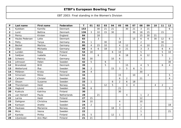| $\mathsf{P}$   | Last name        | <b>First name</b> | <b>Federation</b> | $\mathsf{T}$ | 01             | 02 | 03 | 04 | 05             | 06             | 07             | 08             | 09             | 10 | 11             | 12             |
|----------------|------------------|-------------------|-------------------|--------------|----------------|----|----|----|----------------|----------------|----------------|----------------|----------------|----|----------------|----------------|
| 1              | Kjeldsen         | Kamilla           | Denmark           | 153          |                | 30 | 21 | 21 |                | 30             | 21             | 3              | 21             |    |                | 6              |
| $\overline{2}$ | Lund             | <b>Bettina</b>    | Denmark           | 136          | 3              | 10 | 15 | 30 |                |                | 30             | 18             | 15             |    | 15             |                |
| 3              | Penny            | Kirsten           | England           | 84           |                | 18 |    |    |                |                |                | 15             | 30             | 21 |                |                |
| 4              | Haubo Pedersen   | Lotte             | <b>Denmark</b>    | 83           |                | 3  |    |    | 5              |                | 15             | 6              | 6              | 30 | 12             | 6              |
| 5              | Petty            | Tanya             | Germany           | 81           | $\mathbf{1}$   |    | 30 |    | 18             |                |                | $\overline{2}$ |                |    | 30             |                |
| 6              | <b>Beckel</b>    | Martina           | Germany           | 80           | $\overline{4}$ | 15 | 10 |    | $\overline{4}$ | 12             |                | 4              | 10             |    | 21             |                |
| 7              | Göbel            | Michaela          | Germany           | 68           | $\overline{4}$ | 6  | 18 |    | 3              | 21             |                | 3              | 3              |    | 6              | $\overline{4}$ |
| 8              | Lunden           | Reija             | Finland           | 54           | 18             |    |    | 6  | 10             |                |                | 5              |                |    | 5              | 10             |
| 9              | Saldjian         | Isabelle          | France            | 53           |                | 6  |    |    | 6              | 18             |                | 6              | 12             |    | 5              |                |
| 10             | Schwarz          | Patricia          | Germany           | 52           | 30             |    |    | 10 | 6              |                |                | 3              |                |    |                | $\mathbf{3}$   |
| 11             | Johnsson         | Helen             | Sweden            | 42           | 5              |    | 6  |    | $\mathbf{1}$   |                |                |                |                |    |                | 30             |
| 12             | <b>Brondsted</b> | <b>Britt</b>      | Denmark           | 39           |                |    | 5  |    |                | 15             |                | 4              | 5              |    | 6              | $\overline{4}$ |
| 13             | Wetterlund       | Åsa               | Sweden            | 36           | $\overline{2}$ |    |    | 15 | 3              | 5              | 6              | 5              |                |    |                |                |
| 14             | Pöllänen         | Krista            | Finland           | 34           | $\overline{4}$ |    |    |    |                |                |                | 30             |                |    |                |                |
| 15             | Simonsen         | Rikke             | <b>Denmark</b>    | 34           |                |    |    |    | 15             |                | 10             |                | $\overline{4}$ |    |                | $5\phantom{.}$ |
| 16             | Carlsson         | Christel          | Sweden            | 33           |                |    |    |    | 6              | $\overline{2}$ |                | 21             |                |    |                | $\overline{4}$ |
| 17             | Olsson           | Susanne           | Sweden            | 33           | $\mathbf{1}$   |    |    | 6  | $\overline{2}$ | 6              | 18             |                |                |    |                |                |
| 18             | Thorstensen      | Heidi             | Norway            | 31           |                |    | 12 | 5  |                | $\overline{4}$ | $\overline{4}$ |                |                | 4  | $\overline{a}$ |                |
| 19             | Haglund          | Linda             | Sweden            | 30           | 6              |    |    |    | 21             |                |                |                |                |    |                | 3              |
| 20             | Kukkula          | Katriina          | Finland           | 30           |                |    |    |    | 30             |                |                |                |                |    |                |                |
| 21             | van Hemert       | Paula             | Netherlands       | 28           |                | 21 |    |    |                | $\overline{4}$ |                | $\mathbf{1}$   | 2              |    |                |                |
| 22             | Larnia           | Heidi             | Finland           | 27           | 15             |    |    |    |                |                |                | 12             |                |    |                |                |
| 23             | Dahlgren         | Christina         | Sweden            | 24           | 10             |    |    |    | 4              |                |                | 10             |                |    |                |                |
| 24             | Karlsson         | Anette            | Sweden            | 24           | $\overline{2}$ |    |    |    | $\overline{3}$ |                |                | $\mathbf{1}$   |                |    |                | 18             |
| 25             | Haukaas          | Marianne          | Norway            | 23           |                |    |    | 18 | $\mathsf{3}$   |                |                | $\overline{2}$ |                |    |                |                |
| 26             | <b>Micic</b>     | Vesna             | Sweden            | 22           |                |    |    |    |                |                |                | 1              |                |    |                | 21             |
| 27             | Kantola          | Piritta           | Finland           | 21           | 5              |    |    | 12 | $\mathbf{1}$   |                |                | 3              |                |    |                |                |
| 28             | Liljankoski      | Ann-Mari          | Finland           | 21           | 21             |    |    |    |                |                |                |                |                |    |                |                |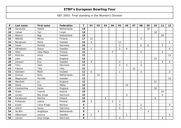| P  | Last name   | <b>First name</b> | Federation  | T.   | 01             | 02             | 03             | 04 | 05             | 06           | 07 | 08             | 09             | 10 | 11 | 12 <sub>2</sub> |
|----|-------------|-------------------|-------------|------|----------------|----------------|----------------|----|----------------|--------------|----|----------------|----------------|----|----|-----------------|
| 29 | Haneveld    | Noelle            | Netherlands | 18   |                |                |                |    |                |              |    |                | 18             |    |    |                 |
| 30 | Itzhak      | Tali              | Israel      | 18   |                |                |                |    |                |              |    |                |                | 18 |    |                 |
| 31 | Manico      | Bigi              | Switzerland | 18   |                |                |                |    |                |              |    |                |                |    | 18 |                 |
| 32 | Mäkelä      | Minna             | Finland     | 17   | 12             |                |                |    |                |              |    | 5              |                |    |    |                 |
| 33 | Bengtsson   | Marie             | Sweden      | 16   | 3              |                |                |    | 12             |              |    |                |                |    |    | $\mathbf{1}$    |
| 34 | Sauer       | Kerstin           | Germany     | 16   |                |                |                |    | $\overline{2}$ |              |    | 6              | 6              |    | 2  |                 |
| 35 | Alfredsson  | Diana             | Sweden      | 15   | $\mathbf{1}$   |                |                |    | $\overline{2}$ | 6            |    |                |                |    |    | 6               |
| 36 | Allen       | Heta Maija        | Finland     | 15   |                |                |                | 5  |                |              |    | $\overline{4}$ |                |    | 6  |                 |
| 37 | Ekström     | Anna              | Sweden      | 15   |                |                |                |    |                |              |    |                |                |    |    | 15              |
| 38 | John        | Lisa              | England     | 15   |                |                |                |    |                |              |    |                |                | 15 |    |                 |
| 39 | Jönsson     | Eva               | Sweden      | 15   | 3              |                |                |    | 3              |              |    | $\overline{2}$ |                |    | 3  | $\overline{4}$  |
| 40 | Tchu        | Iben              | Denmark     | 13   |                |                |                |    | 4              | 5            |    | 4              |                |    |    |                 |
| 41 | Fasano      | Titty             | Italy       | 12   |                |                |                |    |                |              | 12 |                |                |    |    |                 |
| 42 | Glendert    | Malin             | Sweden      | 12   | 6              |                |                |    | 1              |              |    | 3              |                |    |    | $\overline{2}$  |
| 43 | Greiner     | Ross              | Netherlands | $12$ |                | 12             |                |    |                |              |    |                |                |    |    |                 |
| 44 | Magnusson   | Pernilla          | Sweden      | 12   |                |                |                |    |                |              |    |                |                |    |    | 12              |
| 45 | Marshall    | Jo                | England     | 12   |                |                |                |    |                |              |    |                |                | 12 |    |                 |
| 46 | Abela       | Sue               | Malta       | 10   |                |                |                |    |                | 10           |    |                |                |    |    |                 |
| 47 | Constantine | Karen             | England     | 10   |                |                |                |    |                |              |    |                |                | 10 |    |                 |
| 48 | Gross       | Ivonne            | Austria     | 10   |                |                |                |    |                |              |    |                |                |    | 10 |                 |
| 49 | Jensen      | Mai Ginge         | Denmark     | 10   |                |                |                |    |                | 5            |    |                |                |    | 5  |                 |
| 50 | Karatzoula  | Martha            | Greece      | 10   |                |                | $\overline{4}$ |    |                |              |    |                |                | 6  |    |                 |
| 51 | Pulliainen  | Leena             | Finland     | 10   | 3              |                |                | 5  | $\overline{2}$ |              |    |                |                |    |    |                 |
| 52 | Eckell      | Irene Kragh       | Norway      | 9    |                |                |                |    | 4              |              |    | $\overline{2}$ |                |    |    | 3               |
| 53 | Uhlich      | Sonja             | Germany     | 9    |                |                |                |    | 5              |              |    | $\overline{4}$ |                |    |    |                 |
| 54 | de Win      | Angelique         | Netherlands | 8    |                | $\overline{4}$ |                |    |                |              |    |                | $\overline{4}$ |    |    |                 |
| 55 | Håkansson   | Jessica           | Sweden      | 8    | $\overline{2}$ |                |                |    |                | $\mathbf{1}$ |    |                |                |    |    | 5               |
| 56 | Jensen      | Anja Ginge        | Denmark     | 8    |                |                |                |    | 4              |              |    |                |                |    | 4  |                 |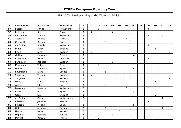| P  | Last name   | First name    | Federation  | T | 01             | 02             | 03 | 04             | 05           | 06 | 07 | 08 | 09             | 10 | 11             | 12           |
|----|-------------|---------------|-------------|---|----------------|----------------|----|----------------|--------------|----|----|----|----------------|----|----------------|--------------|
| 57 | Pascoal     | Farida        | Netherlands | 8 |                | 5              |    |                |              |    |    |    | 3              |    |                |              |
| 58 | Ruhkala     | Suvi          | Finland     | 8 | $\overline{4}$ |                |    | $\overline{4}$ |              |    |    |    |                |    |                |              |
| 59 | van de List | Wendy         | Netherlands | 8 |                |                |    |                |              |    |    |    | 4              |    | $\overline{4}$ |              |
| 60 | Anastasi    | Melissa       | Malta       | 6 |                |                |    |                |              | 6  |    |    |                |    |                |              |
| 61 | Chrisanthi  | Despina       | Greece      | 6 |                |                | 6  |                |              |    |    |    |                |    |                |              |
| 62 | de Bruine   | <b>Brenda</b> | Netherlands | 6 |                |                |    |                |              |    |    |    | 6              |    |                |              |
| 63 | Didur       | Janet         | England     | 6 |                |                |    |                |              |    |    |    |                | 6  |                |              |
| 64 | Flack       | Nina          | Sweden      | 6 | $\mathbf{1}$   |                |    |                |              |    |    |    |                |    |                | 5            |
| 65 | Gaillard    | Laurence      | France      | 6 |                |                |    |                |              |    | 6  |    |                |    |                |              |
| 66 | Kristiansen | Mette         | Denmark     | 6 |                |                |    |                |              |    |    | 1  | 5              |    |                |              |
| 67 | Landqvist   | Rebecca       | Sweden      | 6 |                |                |    | 6              |              |    |    |    |                |    |                |              |
| 68 | Mourgues    | Valerie       | France      | 6 |                | 6              |    |                |              |    |    |    |                |    |                |              |
| 69 | Nuñez       | Francisca     | Spain       | 6 |                |                |    |                |              |    | 6  |    |                |    |                |              |
| 70 | Poulitsidou | Elena         | Greece      | 6 |                |                | 6  |                |              |    |    |    |                |    |                |              |
| 71 | Sofkova     | Victoria      | Sweden      | 6 | 6              |                |    |                |              |    |    |    |                |    |                |              |
| 72 | Torgersen   | Pat           | Norway      | 6 |                |                | 4  |                | $\mathbf{1}$ |    |    |    |                |    |                | $\mathbf{1}$ |
| 73 | Wood        | Clare         | England     | 6 |                |                |    |                |              |    |    |    |                | 6  |                |              |
| 74 | Autieri     | Filli         | Italy       | 5 |                |                | 5  |                |              |    |    |    |                |    |                |              |
| 75 | Beerman     | Nanette       | Netherlands | 5 |                |                |    |                |              | 3  |    |    | $\overline{2}$ |    |                |              |
| 76 | Canosa      | Marta         | Spain       | 5 |                |                |    |                |              |    | 5  |    |                |    |                |              |
| 77 | Cobb        | Sue           | England     | 5 |                |                |    |                |              |    |    |    |                | 5  |                |              |
| 78 | de Bruine   | Diane         | Netherlands | 5 |                |                |    |                |              |    |    |    | $\mathbf{1}$   |    | 4              |              |
| 79 | Eliasson    | Josefine      | Sweden      | 5 |                |                |    |                |              |    |    |    | 5              |    |                |              |
| 80 | Esteban     | Virginia      | Spain       | 5 |                |                |    |                |              |    | 5  |    |                |    |                |              |
| 81 | Göbel       | Alexandra     | Germany     | 5 |                |                | 4  |                |              |    |    |    |                |    | $\mathbf{1}$   |              |
| 82 | Hansen      | Mette         | Norway      | 5 |                |                |    |                | 5            |    |    |    |                |    |                |              |
| 83 | Impola      | Hannele       | Finland     | 5 | $\mathbf{1}$   |                |    | $\overline{4}$ |              |    |    |    |                |    |                |              |
| 84 | Moynot      | Pascale       | France      | 5 |                | $\overline{5}$ |    |                |              |    |    |    |                |    |                |              |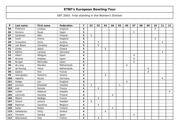| $\mathsf{P}$ | Last name         | First name   | Federation  | $\mathbf T$ | 01             | 02             | 03             | 04             | 05           | 06             | 07                       | 08 | 09 | 10 | 11             | 12             |
|--------------|-------------------|--------------|-------------|-------------|----------------|----------------|----------------|----------------|--------------|----------------|--------------------------|----|----|----|----------------|----------------|
| 85           | Pridmore          | Lindsay      | England     | 5           |                |                |                |                |              |                |                          |    |    | 5  |                |                |
| 86           | Romero            | Roser        | Spain       | 5           |                |                |                |                |              |                | 5                        |    |    |    |                |                |
| 87           | Santonen          | Mari         | Finland     | 5           | 5              |                |                |                |              |                |                          |    |    |    |                |                |
| 88           | Scott             | Emma         | England     | 5           |                |                |                |                |              |                |                          |    |    | 5  |                |                |
| 89           | <b>Szvasztics</b> | <b>Doris</b> | Austria     | 5           |                | 3              |                |                |              |                |                          |    |    |    | $\overline{a}$ |                |
| 90           | van Boom          | Christine    | Belgium     | 5           |                | 5              |                |                |              |                |                          |    |    |    |                |                |
| 91           | Zorba             | Aleka        | Greece      | 5           |                |                | 5              |                |              |                |                          |    |    |    |                |                |
| 92           | Adkins            | Laressa      | Germany     | 4           |                |                |                |                |              |                |                          |    |    |    | $\overline{4}$ |                |
| 93           | Albert            | Milagros     | Spain       | 4           |                |                |                |                |              |                | 4                        |    |    |    |                |                |
| 94           | Alvarez           | Angeles      | Spain       | 4           |                |                |                |                |              |                | 4                        |    |    |    |                |                |
| 95           | <b>Burges</b>     | Mercedes     | Spain       | 4           |                |                |                |                |              |                | $\overline{4}$           |    |    |    |                |                |
| 96           | de Jong           | Marieke      | Netherlands | 4           |                |                |                |                |              | $\overline{4}$ |                          |    |    |    |                |                |
| 97           | de Koning         | Viona        | Netherlands | 4           |                |                |                |                |              |                |                          |    | 4  |    |                |                |
| 98           | Gaskin            | Kim          | France      | 4           |                |                |                |                |              |                |                          |    | 4  |    |                |                |
| 99           | Georgiadou        | Katerina     | Greece      | 4           |                |                | $\overline{4}$ |                |              |                |                          |    |    |    |                |                |
| 100          | Heberle           | Nicole       | Germany     | 4           |                |                |                |                |              |                |                          |    |    |    | 4              |                |
| 101          | Hodge             | Jan          | England     | 4           |                |                |                |                |              | $\overline{4}$ |                          |    |    |    |                |                |
| 102          | Jansson           | Elisabeth    | Sweden      | 4           | 3              |                |                |                | $\mathbf{1}$ |                |                          |    |    |    |                |                |
| 103          | Jost              | Karene       | France      | 4           |                | $\overline{4}$ |                |                |              |                |                          |    |    |    |                |                |
| 104          | Larsen            | Rebecca      | Sweden      | 4           |                |                |                |                |              |                |                          |    |    |    |                | $\overline{4}$ |
| 105          | Lönnroth          | Daniella     | Finland     | 4           |                |                |                | $\overline{4}$ |              |                |                          |    |    |    |                |                |
| 106          | Maitre            | Nadege       | France      | 4           |                | $\overline{4}$ |                |                |              |                |                          |    |    |    |                |                |
| 107          | Olsson            | Jessica      | Sweden      | 4           | $\overline{4}$ |                |                |                |              |                |                          |    |    |    |                |                |
| 108          | Peelman           | Sandrine     | Belgium     | 4           |                | $\overline{4}$ |                |                |              |                |                          |    |    |    |                |                |
| 109          | Ratia             | Riikka       | Finland     | 4           |                |                |                | $\overline{4}$ |              |                |                          |    |    |    |                |                |
| 110          | Sakellariou       | Vicky        | Greece      | 4           |                |                | $\overline{4}$ |                |              |                |                          |    |    |    |                |                |
| 111          | Torrents          | Sandra       | Spain       | 4           |                |                |                |                |              |                | $\overline{\mathcal{A}}$ |    |    |    |                |                |
| 112          | Wieniewski        | Fely         | France      | 4           |                | $\overline{4}$ |                |                |              |                |                          |    |    |    |                |                |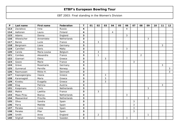| $\mathsf{P}$ | Last name     | First name    | Federation         | $\mathbf T$ | 01 | 02             | 03 | 04 | 05 | 06             | 07 | 08             | 09           | 10 | 11 | 12           |
|--------------|---------------|---------------|--------------------|-------------|----|----------------|----|----|----|----------------|----|----------------|--------------|----|----|--------------|
| 113          | Zavialova     | Inna          | Russia             | 4           |    |                |    |    |    | $\overline{4}$ |    |                |              |    |    |              |
| 114          | Aaltonen      | Laura         | Finland            | 4           |    |                |    | 4  |    |                |    |                |              |    |    |              |
| 115          | Adams         | Donna         | England            | 3           |    |                |    |    |    | 3              |    |                |              |    |    |              |
| 116          | Altewischer   | Annemieke     | Netherlands        | 3           |    |                |    |    |    |                |    |                | 3            |    |    |              |
| 117          | <b>Barois</b> | Lucie         | France             | 3           |    | 3              |    |    |    |                |    |                |              |    |    |              |
| 118          | Bergmann      | Liane         | Germany            | 3           |    |                |    |    |    |                |    |                |              |    | 3  |              |
| 119          | Camilleri     | Doris         | Malta              | 3           |    |                |    |    |    | 3              |    |                |              |    |    |              |
| 120          | Carola        | Maria Louisa  | Belgium            | 3           |    | $\mathfrak{Z}$ |    |    |    |                |    |                |              |    |    |              |
| 121          | Combes        | Alexandra     | France             | 3           |    | $\mathbf{1}$   |    |    |    |                |    | $\overline{2}$ |              |    |    |              |
| 122          | Giannari      | Elena         | Greece             | 3           |    |                | 3  |    |    |                |    |                |              |    |    |              |
| 123          | Gozzo         | Marie         | France             | 3           |    |                |    |    |    |                | 3  |                |              |    |    |              |
| 124          | Greve         | Rosemarie     | Germany            | 3           |    |                |    |    |    |                |    |                |              |    | 3  |              |
| 125          | Gunnerud      | Pernille      | Norway             | 3           |    |                |    |    |    |                |    |                |              |    |    | 3            |
| 126          | Rasmussen     | Rikke H.      | Denmark            | 3           |    |                |    |    |    |                |    |                |              |    |    | $\mathbf{3}$ |
| 127          | Kapsogeorgiou | Ileana        | Greece             | 3           |    |                | 3  |    |    |                |    |                |              |    |    |              |
| 128          | Karamagioli   | Maria         | Greece             | 3           |    |                | 3  |    |    |                |    |                |              |    |    |              |
| 129          | Kivelou       | Evagelia      | Greece             | 3           |    |                | 3  |    |    |                |    |                |              |    |    |              |
| 130          | Klug          | Patricia      | Austria            | 3           |    |                |    |    |    |                |    |                |              |    | 3  |              |
| 131          | Koopmans      | Chris         | <b>Netherlands</b> | 3           |    |                |    |    |    |                |    |                | 3            |    |    |              |
| 132          | Maitre        | Laetitia      | France             | 3           |    | 3              |    |    |    |                |    |                |              |    |    |              |
| 133          | Maas-Pirau    | <b>Bianca</b> | Netherlands        | 3           |    |                |    |    |    | 3              |    |                |              |    |    |              |
| 134          | Maaswinkel    | Priscilla     | Netherlands        | 3           |    |                |    |    |    |                |    |                | $\mathbf{3}$ |    |    |              |
| 135          | Oliva         | Sandra        | Spain              | 3           |    |                |    |    |    |                | 3  |                |              |    |    |              |
| 136          | Parra         | Matilde       | Spain              | 3           |    |                |    |    |    |                | 3  |                |              |    |    |              |
| 137          | Perales       | Irene         | Spain              | 3           |    |                |    |    |    |                | 3  |                |              |    |    |              |
| 138          | Perales       | Pilar         | Spain              | 3           |    |                |    |    |    |                | 3  |                |              |    |    |              |
| 139          | Smith         | Anne          | England            | 3           |    | $\overline{2}$ |    |    |    |                |    |                | $\mathbf{1}$ |    |    |              |
| 140          | Stighall      | Helene        | Sweden             | 3           |    |                |    |    |    | 3              |    |                |              |    |    |              |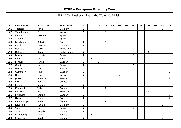| $\mathsf{P}$ | Last name      | <b>First name</b> | Federation  | T                       | 01             | 02             | 03             | 04 | 05             | 06             | 07             | 08 | 09             | 10 | 11             | 12 <sub>2</sub> |
|--------------|----------------|-------------------|-------------|-------------------------|----------------|----------------|----------------|----|----------------|----------------|----------------|----|----------------|----|----------------|-----------------|
| 141          | Theissen       | Tanja             | Germany     | 3                       |                |                |                |    |                |                |                |    |                |    | 3              |                 |
| 142          | Thorstensen    | Gro               | Norway      | 3                       |                |                | 3              |    |                |                |                |    |                |    |                |                 |
| 143          | Alente         | Carmela           | Spain       | $\overline{\mathbf{2}}$ |                |                |                |    |                |                | $\overline{2}$ |    |                |    |                |                 |
| 144          | Arnedo         | Cristina          | Spain       | $\overline{2}$          |                |                |                |    |                |                | $\overline{2}$ |    |                |    |                |                 |
| 145          | Bogdanou       | Katerina          | Greece      | $\overline{2}$          |                |                | 2              |    |                |                |                |    |                |    |                |                 |
| 146          | Cardi          | Laetitia          | France      | $\overline{2}$          |                | $\overline{2}$ |                |    |                |                |                |    |                |    |                |                 |
| 147          | <b>Dekkers</b> | Carla             | Netherlands | $\overline{2}$          |                |                |                |    |                | $\overline{a}$ |                |    |                |    |                |                 |
| 148          | <b>Dekkers</b> | Ilona             | Netherlands | $\mathbf{2}$            |                |                |                |    |                |                |                |    | $\overline{2}$ |    |                |                 |
| 149          | Duran          | Paquita           | Spain       | $\overline{2}$          |                |                |                |    |                |                | $\overline{2}$ |    |                |    |                |                 |
| 150          | Einola         | Tiia              | Finland     | $\overline{2}$          | $\overline{2}$ |                |                |    |                |                |                |    |                |    |                |                 |
| 151          | Forsvall       | Jennie            | Sweden      | $\overline{2}$          |                | $\overline{2}$ |                |    |                |                |                |    |                |    |                |                 |
| 152          | Garcia         | Marisa            | Spain       | $\overline{2}$          |                |                |                |    |                |                | $\overline{2}$ |    |                |    |                |                 |
| 153          | Glover         | Zara              | England     | $\overline{2}$          |                |                |                |    |                | $\overline{2}$ |                |    |                |    |                |                 |
| 154          | Gustafzon      | Tina              | Sweden      | $\overline{2}$          |                |                |                |    |                |                |                |    |                |    |                | $\overline{2}$  |
| 155          | Horgen         | <b>Trine</b>      | Norway      | $\overline{\mathbf{2}}$ |                |                |                |    | $\overline{2}$ |                |                |    |                |    |                |                 |
| 156          | Johansson      | Annette           | Sweden      | $\overline{2}$          |                |                |                |    |                |                |                |    |                |    |                | $\overline{2}$  |
| 157          | Kiritsi        | Valia             | Greece      | $\overline{2}$          |                |                | $\overline{2}$ |    |                |                |                |    |                |    |                |                 |
| 158          | Kolokitha      | Ioanna            | Greece      | $\mathbf{2}$            |                |                | $\overline{2}$ |    |                |                |                |    |                |    |                |                 |
| 159          | Kraboviti      | Valeri            | Greece      | $\overline{2}$          |                |                | $\overline{2}$ |    |                |                |                |    |                |    |                |                 |
| 160          | Lenssen        | Inge              | Netherlands | $\overline{2}$          |                |                |                |    |                |                |                |    | $\overline{2}$ |    |                |                 |
| 161          | Lindqvist      | Camilla           | Sweden      | $\overline{2}$          |                |                |                |    |                |                |                |    |                |    |                | $\overline{a}$  |
| 162          | Nyborg         | Emma              | Sweden      | $\overline{2}$          |                |                |                |    |                |                |                |    |                |    |                | $\overline{2}$  |
| 163          | Papagianopou.  | Anna              | Greece      | $\overline{2}$          |                |                | $\overline{2}$ |    |                |                |                |    |                |    |                |                 |
| 164          | Reussing       | Svenja            | Germany     | $\mathbf{2}$            |                |                |                |    |                |                |                |    |                |    | $\overline{2}$ |                 |
| 165          | Sanz           | Marisa            | Spain       | $\overline{2}$          |                |                |                |    |                |                | $\overline{2}$ |    |                |    |                |                 |
| 166          | Soler          | Magalie           | France      | $\overline{2}$          |                | 2              |                |    |                |                |                |    |                |    |                |                 |
| 167          | Strömberg      | Jaana             | Finland     | $\mathbf{2}$            | $\overline{2}$ |                |                |    |                |                |                |    |                |    |                |                 |
| 168          | Stutzmann      | Kerstin           | Germany     | $\overline{2}$          |                |                |                |    |                |                |                |    |                |    | $\overline{2}$ |                 |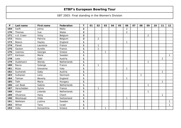| $\mathsf{P}$ | Last name   | First name | Federation  | T.             | 01 | 02             | 03          | 04 | 05 | 06             | 07 | 08           | 09             | 10 | 11           | 12           |
|--------------|-------------|------------|-------------|----------------|----|----------------|-------------|----|----|----------------|----|--------------|----------------|----|--------------|--------------|
| 169          | Swift       | Jenny      | Malta       | $\overline{2}$ |    |                |             |    |    | $\overline{2}$ |    |              |                |    |              |              |
| 170          | Thomas      | Sue        | Wales       | $\overline{2}$ |    |                |             |    |    | $\overline{2}$ |    |              |                |    |              |              |
| 171          | v.d. Craen  | Vicky      | Belgium     | $\overline{2}$ |    |                |             |    |    |                |    |              | $\overline{2}$ |    |              |              |
| 172          | Vezzu       | Patricia   | Belgium     | $\overline{2}$ |    | $\overline{2}$ |             |    |    |                |    |              |                |    |              |              |
| 173          | Beavis      | Hayley     | England     | $\mathbf 1$    |    |                |             |    |    | $\mathbf{1}$   |    |              |                |    |              |              |
| 174          | Fievet      | Laurence   | France      | 1              |    | $\mathbf{1}$   |             |    |    |                |    |              |                |    |              |              |
| 175          | Gauton      | Aurelie    | France      | 1              |    | $\mathbf{1}$   |             |    |    |                |    |              |                |    |              |              |
| 176          | Ioannou     | Georgia    | Greece      | $\mathbf 1$    |    |                | $\mathbf 1$ |    |    |                |    |              |                |    |              |              |
| 177          | Karlsson    | Marie      | Sweden      | $\mathbf 1$    |    |                |             |    |    |                |    |              |                |    |              | $\mathbf{1}$ |
| 178          | Loos        | Gabi       | Austria     | $\mathbf 1$    |    |                |             |    |    |                |    |              |                |    | $\mathbf{1}$ |              |
| 179          | Oudshoorn   | Wendy      | Netherlands | $\mathbf 1$    |    |                |             |    |    |                |    |              | 1              |    |              |              |
| 180          | Racca       | Solange    | France      | $\mathbf 1$    |    | $\mathbf{1}$   |             |    |    |                |    |              |                |    |              |              |
| 181          | Rizzo       | Giovanna   | Italy       | $\mathbf{1}$   |    |                |             |    |    | -1             |    |              |                |    |              |              |
| 182          | Suchanek    | Gaby       | Austria     | 1              |    |                |             |    |    |                |    |              |                |    | $\mathbf{1}$ |              |
| 183          | Sulkanen    | Lena       | Denmark     | 1              |    |                |             |    |    |                |    | $\mathbf{1}$ |                |    |              |              |
| 184          | Tolman      | Beverly    | England     | 1              |    |                |             |    |    | $\mathbf 1$    |    |              |                |    |              |              |
| 185          | Toth        | Maria      | Hungary     | $\mathbf 1$    |    |                |             |    |    |                |    |              |                |    | $\mathbf{1}$ |              |
| 186          | van Baak    | Sabine     | Netherlands | $\mathbf 1$    |    |                |             |    |    |                |    |              | 1              |    |              |              |
| 187          | Verschelden | Sylvie     | France      | $\mathbf{1}$   |    | $\mathbf{1}$   |             |    |    |                |    |              |                |    |              |              |
| 188          | Visser      | Jolanda    | Netherlands | $\mathbf 1$    |    |                |             |    |    |                |    |              | 1              |    |              |              |
| 189          | Vitvarova   | Hana       | Chech       | $\mathbf{1}$   |    |                |             |    |    |                |    |              |                |    | 1            |              |
| 190          | Weishaupt   | Hilde      | Switzerland | 1              |    |                |             |    |    | $\mathbf{1}$   |    |              |                |    |              |              |
| 191          | Wellstam    | Justina    | Sweden      | 1              |    |                |             |    |    |                |    |              |                |    |              | $\mathbf{1}$ |
| 192          | Wilner      | Tana       | Israel      | $\mathbf 1$    |    |                |             |    |    |                |    |              |                |    |              | $\mathbf{1}$ |
| 193          | Xidia       | Konsantina | Greece      | 1              |    |                |             |    |    |                |    |              |                |    |              |              |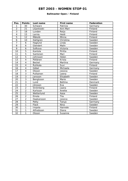### **Ballmaster Open / Finland**

| Pos.                     | <b>Points</b>            | Last name     | <b>First name</b> | Federation |
|--------------------------|--------------------------|---------------|-------------------|------------|
| 1                        | 30                       | Schwarz       | Patricia          | Germany    |
| $\overline{2}$           | 21                       | Liljankoski   | Ann-Mari          | Finland    |
| $\overline{3}$           | 18                       | Lunden        | Reija             | Finland    |
| $\overline{\mathcal{L}}$ | 15                       | Larnia        | Heidi             | Finland    |
| $\overline{5}$           | 12                       | Mäkelä        | Minna             | Finland    |
| 6                        | 10                       | Dahlgren      | Christina         | Sweden     |
| $\overline{7}$           | 6                        | Haglund       | Linda             | Sweden     |
| 8                        | 6                        | Glendert      | Malin             | Sweden     |
| 9                        | 6                        | Sofkova       | Victoria          | Sweden     |
| 10                       | 5                        | Kantola       | Piritta           | Finland    |
| 11                       | $\overline{5}$           | Santonen      | Mari              | Finland    |
| 12                       | $\overline{5}$           | Johnsson      | Helen             | Sweden     |
| 13                       | $\overline{\mathbf{4}}$  | Pöllänen      | Krista            | Finland    |
| 14                       | $\overline{\mathbf{4}}$  | <b>Beckel</b> | Martina           | Germany    |
| 15                       | $\overline{4}$           | Ruhkala       | Suvi              | Finland    |
| 16                       | $\overline{\mathbf{4}}$  | Göbel         | Michaela          | Germany    |
| 17                       | $\overline{\mathcal{A}}$ | Olsson        | Jessica           | Sweden     |
| 18                       | $\overline{3}$           | Pulliainen    | Leena             | Finland    |
| 19                       | $\overline{3}$           | Jansson       | Elisabeth         | Sweden     |
| 20                       | $\overline{3}$           | Bengtsson     | Marie             | Sweden     |
| $\overline{21}$          | $\overline{3}$           | Lund          | <b>Bettina</b>    | Denmark    |
| 22                       | $\overline{3}$           | Jönsson       | Eva               | Sweden     |
| 23                       | $\overline{2}$           | Strömberg     | Jaana             | Finland    |
| $\overline{24}$          | $\overline{2}$           | Karlsson      | Anette            | Sweden     |
| 25                       | $\overline{2}$           | Wetterlund    | Aasa              | Sweden     |
| 26                       | $\overline{2}$           | Einola        | Tiia              | Finland    |
| 27                       | $\overline{2}$           | Haakansson    | Jessica           | Sweden     |
| 28                       | $\mathbf{1}$             | Petty         | Tanya             | Germany    |
| 29                       | $\mathbf{1}$             | Flack         | Nina              | Sweden     |
| 30                       | 1                        | Impola        | Hannele           | Finland    |
| 31                       | 1                        | Alfredsson    | Diana             | Sweden     |
| 32                       | 1                        | Olsson        | Susanne           | Sweden     |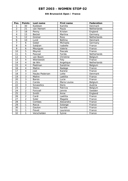### **6th Brunswick Open / France**

| Pos.                     | <b>Points</b>           | Last name         | First name     | Federation  |
|--------------------------|-------------------------|-------------------|----------------|-------------|
| 1                        | 30                      | Kjeldsen          | Kamilla        | Denmark     |
| $\overline{a}$           | 21                      | van Hemert        | Paula          | Netherlands |
| $\overline{3}$           | 18                      | Penny             | Kristen        | England     |
| $\overline{\mathcal{A}}$ | 15                      | <b>Beckel</b>     | Martina        | Germany     |
| $\overline{5}$           | $\overline{12}$         | Greiner           | <b>Ross</b>    | Netherlands |
| 6                        | 10                      | Lund              | <b>Bettina</b> | Denmark     |
| $\overline{7}$           | 6                       | Gobel             | Michaela       | Germany     |
| 8                        | 6                       | Saldjian          | Isabelle       | France      |
| 9                        | 6                       | Mourgues          | Valerie        | France      |
| 10                       | 5                       | Moynot            | Pascale        | France      |
| 11                       | $\overline{5}$          | Pascoal           | Farida         | Netherlands |
| 12                       | $\overline{5}$          | van Boom          | Christine      | Belgium     |
| 13                       | $\overline{\mathbf{4}}$ | Wieniewski        | Fely           | France      |
| 14                       | $\overline{\mathbf{4}}$ | de Win            | Angelique      | Netherlands |
| 15                       | $\overline{4}$          | Peelman           | Sandrine       | Belgium     |
| 16                       | $\overline{\mathbf{4}}$ | Maitre            | Nadege         | France      |
| 17                       | $\overline{4}$          | Jost              | Karene         | France      |
| 18                       | 3                       | Haubo Pedersen    | Lotte          | Denmark     |
| 19                       | $\overline{3}$          | Maitre            | Laetitia       | France      |
| 20                       | $\overline{3}$          | <b>Barois</b>     | Lucie          | France      |
| $\overline{21}$          | $\overline{3}$          | Carola            | Maria Louisa   | Belgium     |
| 22                       | $\overline{3}$          | <b>Szvasztics</b> | Doris          | Austria     |
| 23                       | $\overline{2}$          | Vezzu             | Patricia       | Belgium     |
| 24                       | $\overline{2}$          | Forsvall          | Jennie         | Sweden      |
| $\overline{25}$          | $\overline{2}$          | Smith             | Anne           | England     |
| 26                       | $\overline{2}$          | Cardi             | Laetitia       | France      |
| 27                       | $\overline{2}$          | Soler             | Magalie        | France      |
| 28                       | 1                       | Combes            | Alexandra      | France      |
| 29                       | 1                       | Racca             | Solange        | France      |
| 30                       | 1                       | Gauton            | Aurelie        | France      |
| 31                       | 1                       | Fievet            | Laurence       | France      |
| 32                       | 1                       | Verschelden       | Sylvie         | France      |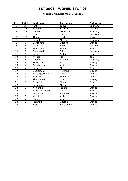#### **Athens Brunswick Open / Greece**

| Pos.            | <b>Points</b>            | Last name        | <b>First name</b> | <b>Federation</b> |
|-----------------|--------------------------|------------------|-------------------|-------------------|
| 1               | 30                       | Petty            | Tanya             | Germany           |
| $\overline{2}$  | 21                       | Kjeldsen         | Kamilla           | <b>Denmark</b>    |
| 3               | 18                       | Goebel           | Michaella         | Germany           |
| 4               | 15                       | Lund             | <b>Bettina</b>    | Denmark           |
| $\overline{5}$  | 12                       | Thorstensen      | Heidi             | Norway            |
| 6               | 10                       | <b>Beckel</b>    | Martina           | Germany           |
| 7               | 6                        | Chrisanthi       | Despina           | Greece            |
| 8               | 6                        | Johnsson         | Helen             | Sweden            |
| 9               | 6                        | Poulitsidou      | Elena             | Greece            |
| 10              | 5                        | <b>Brondsted</b> | <b>Britt</b>      | Denmark           |
| 11              | $\overline{5}$           | Zorba            | Aleka             | Greece            |
| 12              | 5                        | Autieri          | Filli             | Italy             |
| 13              | $\overline{\mathcal{A}}$ | Goebel           | Alexandra         | Germany           |
| 14              | $\overline{\mathcal{A}}$ | Torgersen        | Pat               | Norway            |
| $\overline{15}$ | $\overline{\mathcal{A}}$ | Sakellariou      | <b>Vicky</b>      | Greece            |
| 16              | 4                        | Karatzoula       | Martha            | Greece            |
| 17              | $\overline{\mathcal{A}}$ | Georgiadou       | Katerina          | Greece            |
| 18              | $\overline{3}$           | Kapsogeorgiou    | Ileana            | Greece            |
| 19              | $\overline{3}$           | Kivelou          | Evagelia          | Greece            |
| 20              | $\overline{3}$           | Thorstensen      | Gro               | Norway            |
| 21              | $\overline{3}$           | Giannari         | Elena             | Greece            |
| 22              | $\overline{3}$           | Karamagioli      | Maria             | Greece            |
| 23              | $\overline{2}$           | Kolokitha        | Ioanna            | Greece            |
| 24              | $\overline{2}$           | Papagianopoulou  | Anna              | Greece            |
| 25              | $\overline{2}$           | Bogdanou         | Katerina          | Greece            |
| 26              | $\overline{2}$           | Kiritsi          | Valia             | Greece            |
| 27              | $\overline{2}$           | Kraboviti        | Valeri            | Greece            |
| 28              | 1                        | Ioannou          | Georgia           | Greece            |
| 29              | 1                        | Xidia            | Konsantina        | Greece            |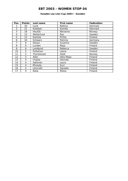### **Sweden Les Lion Cup 2003 / Sweden**

| Pos.           | <b>Points</b> | Last name   | First name | <b>Federation</b> |
|----------------|---------------|-------------|------------|-------------------|
|                | 30            | Lund        | Bettina    | Denmark           |
| $\overline{2}$ | 21            | Kjeldsen    | Kamilla    | Denmark           |
| 3              | 18            | Haukås      | Marianne   | Norway            |
| 4              | 15            | Wetterlund  | Åsa        | Sweden            |
| 5              | 12            | Kantola     | Piritta    | Finland           |
| 6              | 10            | Schwarz     | Patricia   | Germany           |
| 7              | 6             | Olsson      | Susanne    | Sweden            |
| 8              | 6             | Lunden      | Reija      | Finland           |
| 9              | 6             | Landqvist   | Rebecca    | Sweden            |
| 10             | 5             | Pulliainen  | Leena      | Finland           |
| 11             | 5             | Thorstensen | Heidi      | Norway            |
| 12             | 5             | Allen       | Heta Maija | Finland           |
| 13             | 4             | Impola      | Hannele    | Finland           |
| 14             | 4             | Aaltonen    | Laura      | Finland           |
| 15             | 4             | Rhukala     | Suvi       | Finland           |
| 16             | 4             | Lönnroth    | Daniella   | Finland           |
| 17             | 4             | Ratia       | Riikka     | Finland           |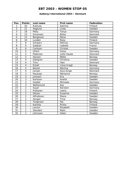### **Aalborg International 2003 / Denmark**

| Pos.            | <b>Points</b>           | Last name     | First name   | <b>Federation</b> |
|-----------------|-------------------------|---------------|--------------|-------------------|
| 1               | 30                      | Kukkula       | Katriina     | Finland           |
| $\overline{2}$  | 21                      | Haglund       | Linda        | Sweden            |
| $\overline{3}$  | 18                      | Petty         | Tanya        | Germany           |
| 4               | 15                      | Simonsen      | <b>Rikke</b> | Denmark           |
| 5               | 12                      | Bengtsson     | Marie        | Sweden            |
| 6               | 10                      | Lunden        | Reija        | Finland           |
| $\overline{7}$  | 6                       | Schwarz       | Patricia     | Germany           |
| 8               | 6                       | Saldjian      | Isabelle     | France            |
| 9               | 6                       | Carlsson      | Christel     | Sweden            |
| 10              | 5                       | Uhlich        | Sonja        | Germany           |
| 11              | $\overline{5}$          | Pedersen      | Lotte Haubo  | <b>Denmark</b>    |
| 12              | $\overline{5}$          | Hansen        | Mette        | Norway            |
| 13              | $\overline{\mathbf{4}}$ | Dahlgren      | Christina    | Sweden            |
| 14              | $\overline{4}$          | Tchu          | Iben         | Denmark           |
| 15              | $\overline{\mathbf{4}}$ | Eckell        | Irene Kragh  | Norway            |
| 16              | $\overline{\mathbf{4}}$ | <b>Beckel</b> | Martina      | Germany           |
| 17              | $\overline{\mathbf{4}}$ | Jensen        | Anja Ginge   | Denmark           |
| 18              | $\overline{3}$          | Haukaas       | Marianne     | Norway            |
| 19              | $\overline{3}$          | Jonsson       | Eva          | Sweden            |
| 20              | $\overline{3}$          | Karlsson      | Anette       | Sweden            |
| 21              | $\overline{3}$          | Goebel        | Michaela     | Germany           |
| 22              | $\overline{3}$          | Wetterlund    | Asa          | Sweden            |
| 23              | $\overline{2}$          | Sauer         | Kerstein     | Germany           |
| $\overline{24}$ | $\overline{2}$          | Pullianen     | Leena        | Finland           |
| $\overline{25}$ | $\overline{2}$          | Olsson        | Susanne      | Sweden            |
| 26              | $\overline{2}$          | Alfredsson    | Diana        | Sweden            |
| 27              | $\overline{2}$          | Horgen        | <b>Trine</b> | Norway            |
| 28              | 1                       | Torgersen     | Pat          | Norway            |
| 29              | 1                       | Kantola       | Piritta      | Finland           |
| 30              | $\mathbf{1}$            | Janson        | Elisabeth    | Sweden            |
| 31              | 1                       | Glendert      | Malin        | Sweden            |
| 32              | 1                       | Johnsson      | Helen        | Sweden            |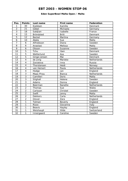### **Eden SuperBowl Malta Open / Malta**

| Pos.                     | <b>Points</b>  | Last name      | First name    | Federation  |
|--------------------------|----------------|----------------|---------------|-------------|
| 1                        | 30             | Kjeldsen       | Kamilla       | Denmark     |
| $\overline{2}$           | 21             | Göbel          | Michaela      | Germany     |
| $\overline{3}$           | 18             | Saldjian       | Isabelle      | France      |
| $\overline{\mathcal{L}}$ | 15             | Bröndsted      | <b>Britt</b>  | Denmark     |
| 5                        | 12             | Beckel         | Martina       | Germany     |
| 6                        | 10             | Abela          | Sue           | Malta       |
| $\overline{7}$           | 6              | Alfredsson     | Diana         | Sweden      |
| 8                        | 6              | Anastasi       | Melissa       | Malta       |
| 9                        | 6              | Olsson         | Susanne       | Sweden      |
| 10                       | 5              | Tchu           | Iben          | Denmark     |
| 11                       | $\overline{5}$ | Wetterlund     | Asa           | Sweden      |
| 12                       | $\overline{5}$ | Ginge Jensen   | Mai           | Denmark     |
| 13                       | $\overline{4}$ | de Jong        | Marieke       | Netherlands |
| 14                       | $\overline{4}$ | Zavialova      | Inna          | Russia      |
| 15                       | $\overline{4}$ | Thorstensen    | Heidi         | Norway      |
| $\overline{16}$          | $\overline{4}$ | van Hemert     | Paula         | Netherlands |
| 17                       | $\overline{4}$ | Hodge          | Jan           | England     |
| 18                       | $\overline{3}$ | Maas-Pirau     | <b>Bianca</b> | Netherlands |
| 19                       | $\overline{3}$ | Camilleri      | Doris         | Malta       |
| 20                       | $\overline{3}$ | Stighall       | Helene        | Sweden      |
| 21                       | $\overline{3}$ | Adams          | Donna         | England     |
| 22                       | $\overline{3}$ | Beerman        | Nanette       | Netherlands |
| 23                       | $\overline{2}$ | Thomas         | Sue           | Wales       |
| 24                       | $\overline{2}$ | Carlsson       | Christel      | Sweden      |
| $\overline{25}$          | $\overline{2}$ | Swift          | Jenny         | Malta       |
| 26                       | $\overline{2}$ | <b>Dekkers</b> | Carla         | Netherlands |
| 27                       | $\overline{2}$ | Glover         | Zara          | England     |
| 28                       | 1              | Tolman         | Beverly       | England     |
| 29                       | 1              | Rizzo          | Giovanna      | Italy       |
| 30                       | 1              | <b>Beavis</b>  | Hayley        | England     |
| 31                       | 1              | Weishaupt      | Hilde         | Switzerland |
| 32                       | $\mathbf{1}$   | Innergaard     | Caroline      | Sweden      |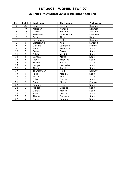#### **25 Trofeu Internacional Ciutat de Barcelona / Catalonia**

| Pos.           | <b>Points</b>  | Last name     | First name     | Federation |
|----------------|----------------|---------------|----------------|------------|
| 1              | 30             | Lund          | <b>Bettina</b> | Denmark    |
| $\overline{a}$ | 21             | Kjeldsen      | Kamilla        | Denmark    |
| 3              | 18             | Olsson        | Susanne        | Sweden     |
| 4              | 15             | Pedersen      | Lotte Houbo    | Denmark    |
| 5              | 12             | Fasano        | Titty          | Italy      |
| 6              | 10             | Simonssen     | Rikke          | Denmark    |
| $\overline{7}$ | 6              | Wetterlund    | Åsa            | Sweden     |
| 8              | 6              | Gaillard      | Laurence       | France     |
| 9              | 6              | Nuñez         | Francisca      | Spain      |
| 10             | $\overline{5}$ | Romero        | Roser          | Spain      |
| 11             | 5              | Esteban       | Virginia       | Spain      |
| 12             | 5              | Canosa        | Marta          | Spain      |
| 13             | $\overline{4}$ | Albert        | Milagros       | Spain      |
| 14             | 4              | Torrents      | Sandra         | Spain      |
| 15             | 4              | <b>Burges</b> | Mercedes       | Spain      |
| 16             | $\overline{4}$ | Alvarez       | Angeles        | Spain      |
| 17             | 4              | Thorstensen   | Heidi          | Norway     |
| 18             | 3              | Parra         | Matilde        | Spain      |
| 19             | $\overline{3}$ | Perales       | Pilar          | Spain      |
| 20             | 3              | Oliva         | Sandra         | Spain      |
| 21             | $\overline{3}$ | Gozzo         | Marie          | France     |
| 22             | $\overline{3}$ | Perales       | Irene          | Spain      |
| 23             | $\overline{2}$ | Arnedo        | Cristina       | Spain      |
| 24             | $\overline{2}$ | Garcia        | Marisa         | Spain      |
| 25             | $\overline{2}$ | Sanz          | Marisa         | Spain      |
| 26             | $\overline{2}$ | Alente        | Carmela        | Spain      |
| 27             | $\overline{2}$ | Duran         | Paquita        | Spain      |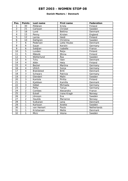#### **Danish Masters / Denmark**

| Pos.                     | <b>Points</b>           | Last name        | First name     | Federation  |
|--------------------------|-------------------------|------------------|----------------|-------------|
| 1                        | 30                      | Pöllänen         | Krista         | Finland     |
| $\overline{2}$           | 21                      | Carlsson         | Christel       | Sweden      |
| $\overline{3}$           | 18                      | Lund             | <b>Bettina</b> | Denmark     |
| $\overline{\mathcal{A}}$ | 15                      | Penny            | Kirsten        | England     |
| 5                        | 12                      | Larnia           | Heidi          | Finland     |
| 6                        | 10                      | Dahlgren         | Christina      | Sweden      |
| $\overline{7}$           | 6                       | Pedersen         | Lotte Houbo    | Denmark     |
| 8                        | 6                       | Sauer            | Kerstin        | Germany     |
| 9                        | 6                       | Saldjian         | Isabelle       | France      |
| 10                       | 5                       | Lunden           | Reija          | Finland     |
| 11                       | $\overline{5}$          | Mäkelä           | Minna          | Finland     |
| 12                       | $\overline{5}$          | Wetterlund       | Åsa            | Sweden      |
| 13                       | $\overline{\mathbf{4}}$ | Tchu             | Iben           | Denmark     |
| 14                       | $\overline{\mathbf{4}}$ | Allén            | Heta           | Finland     |
| 15                       | $\overline{\mathbf{4}}$ | <b>Beckel</b>    | Martina        | Germany     |
| 16                       | $\overline{4}$          | Uhlich           | Sonja          | Germany     |
| 17                       | $\overline{4}$          | <b>Brøndsted</b> | <b>Britt</b>   | Denmark     |
| 18                       | $\overline{3}$          | Schwarx          | Patricia       | Germany     |
| 19                       | $\overline{3}$          | Glendert         | Malin          | Sweden      |
| 20                       | $\overline{3}$          | Kantola          | Piritta        | Finland     |
| $\overline{21}$          | $\overline{3}$          | Kjeldsen         | Kamilla        | Denmark     |
| 22                       | $\overline{3}$          | Göbel            | Michaela       | Germany     |
| 23                       | $\overline{2}$          | Petty            | Tanya          | Germany     |
| 24                       | $\overline{2}$          | Combes           | Alexandra      | France      |
| $\overline{25}$          | $\overline{2}$          | Eckell           | Irene Kragh    | Norway      |
| 26                       | $\overline{2}$          | Jönsson          | Eva            | Sweden      |
| 27                       | $\overline{2}$          | Haukås           | Marianne       | Norway      |
| 28                       | 1                       | Sulkanen         | Lena           | Denmark     |
| 29                       | 1                       | Karlsson         | Anette         | Sweden      |
| 30                       | $\overline{1}$          | van Hemert       | Paula          | Netherlands |
| 31                       | 1                       | Kristiansen      | Mette          | Denmark     |
| 32                       | 1                       | Micic            | Vesna          | Sweden      |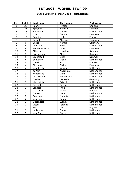### **Dutch Brunswick Open 2003 / Netherlands**

| Pos.            | <b>Points</b>           | Last name        | <b>First name</b> | Federation  |
|-----------------|-------------------------|------------------|-------------------|-------------|
| 1               | 30                      | Penny            | Kirsten           | England     |
| $\overline{a}$  | 21                      | Kjeldsen         | Kamilla           | Denmark     |
| $\overline{3}$  | 18                      | Haneveld         | Noelle            | Netherlands |
| 4               | 15                      | Lund             | Betina            | Denmark     |
| 5               | 12                      | Saldijan         | Isabelle          | France      |
| 6               | 10                      | <b>Beckel</b>    | Martina           | Germany     |
| $\overline{7}$  | 6                       | Sauer            | Kerstin           | Germany     |
| 8               | 6                       | de Bruine        | <b>Brenda</b>     | Netherlands |
| 9               | 6                       | Houbo Pedersen   | Lotte             | Denmark     |
| 10              | $\overline{5}$          | Elliasson        | Josefine          | Sweden      |
| 11              | $\overline{5}$          | Kristiansen      | Mette             | Denmark     |
| 12              | $\overline{5}$          | <b>Brondsted</b> | <b>Britt</b>      | Denmark     |
| 13              | $\overline{\mathbf{4}}$ | de Koning        | Viona             | Netherlands |
| 14              | $\overline{\mathbf{4}}$ | Gaskin           | Kim               | France      |
| 15              | $\overline{4}$          | Simonsen         | <b>Rikke</b>      | Denmark     |
| $\overline{16}$ | $\overline{4}$          | van de List      | Wendy             | Netherlands |
| 17              | $\overline{4}$          | de Win           | Angelique         | Netherlands |
| 18              | $\overline{3}$          | Koopmans         | Chris             | Netherlands |
| 19              | $\overline{3}$          | Altewischer      | Annemieke         | Netherlands |
| 20              | $\overline{3}$          | Goebel           | Michaela          | Germany     |
| 21              | $\overline{3}$          | Maaswinkel       | Priscilla         | Netherlands |
| 22              | $\overline{3}$          | Pascoal          | Farida            | Netherlands |
| 23              | $\overline{2}$          | Lenssen          | Inge              | Netherlands |
| $\overline{24}$ | $\overline{2}$          | v.d. Craen       | Vicky             | Belgium     |
| 25              | $\overline{2}$          | <b>Dekkers</b>   | Ilona             | Netherlands |
| 26              | $\overline{2}$          | Beerman          | Nanette           | Netherlands |
| 27              | $\overline{2}$          | van Hemert       | Paula             | Netherlands |
| 28              | 1                       | Oudshoorn        | Wendy             | Netherlands |
| 29              | 1                       | Visser           | Jolanda           | Netherlands |
| 30              | 1                       | Smith            | Ann               | England     |
| 31              | 1                       | de Bruine        | Diane             | Netherlands |
| 32              | 1                       | van Baak         | Sabine            | Netherlands |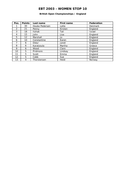### **British Open Championships / England**

| Pos.          | <b>Points</b> | Last name      | <b>First name</b> | <b>Federation</b> |
|---------------|---------------|----------------|-------------------|-------------------|
|               | 30            | Houbo Pedersen | Lotte             | Denmark           |
| $\mathcal{P}$ | 21            | Penny          | Kirsten           | England           |
| 3             | 18            | Itzhak         | Tali              | Israel            |
| 4             | 15            | John           | Lisa              | England           |
| 5             | 12            | Marshall       | Jo                | England           |
| 6             | 10            | Constantine    | Karen             | England           |
| 7             | 6             | Didur          | Janet             | England           |
| 8             | 6             | Karatzoula     | Martha            | Greece            |
| 9             | 6             | Wood           | Clare             | England           |
| 10            | 5             | Pridmore       | Lindsay           | England           |
| 11            | 5             | Scott          | Emma              | England           |
| 12            | 5             | Cobb           | Sue               | England           |
| 13            | 4             | Thorstensen    | Heidi             | Norway            |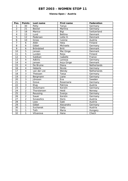#### **Vienna Open / Austria**

| Pos.                     | <b>Points</b>           | Last name         | <b>First name</b> | Federation  |
|--------------------------|-------------------------|-------------------|-------------------|-------------|
| 1                        | 30                      | Petty             | Tanya             | Germany     |
| $\overline{2}$           | 21                      | Beckel            | Martina           | Germany     |
| $\overline{3}$           | 18                      | Manico            | Bigi              | Switzerland |
| $\overline{\mathcal{A}}$ | 15                      | Lund              | <b>Bettina</b>    | Denmark     |
| 5                        | 12                      | Pedersen          | Lotte H.          | Denmark     |
| 6                        | 10                      | Gross             | Ivonne            | Austria     |
| $\overline{7}$           | 6                       | Allén             | Heta              | Finland     |
| 8                        | 6                       | Göbel             | Michaela          | Germany     |
| 9                        | 6                       | Bröndsted         | <b>Britt</b>      | Denmark     |
| 10                       | $\overline{5}$          | Jensen            | Mai Ginge         | Denmark     |
| 11                       | $\overline{5}$          | Lunden            | Reija             | Finland     |
| 12                       | $\overline{5}$          | Saldijan          | Isabelle          | France      |
| 13                       | $\overline{4}$          | Adkins            | Laressa           | Germany     |
| 14                       | $\overline{\mathbf{4}}$ | Jensen            | Anja Ginge        | Denmark     |
| 15                       | $\overline{\mathbf{4}}$ | De Bruine         | Diana             | Netherlands |
| 16                       | $\overline{4}$          | Heberle           | Nicole            | Germany     |
| 17                       | $\overline{4}$          | van der List      | Wendy             | Netherlands |
| 18                       | $\overline{3}$          | Theissen          | Tanja             | Germany     |
| 19                       | $\overline{3}$          | Bergmann          | Liane             | Germany     |
| 20                       | $\overline{3}$          | Jönsson           | Eva               | Sweden      |
| $\overline{21}$          | $\overline{3}$          | Greve             | Rosemarie         | Germany     |
| 22                       | $\overline{3}$          | Klug              | Patricia          | Austria     |
| 23                       | $\overline{2}$          | Stutzmann         | Kerstin           | Germany     |
| $\overline{24}$          | $\overline{2}$          | Thorstensen       | Heidi             | Norway      |
| 25                       | $\overline{2}$          | Reussing          | Svenja            | Germany     |
| 26                       | $\overline{2}$          | Sauer             | Kerstin           | Germany     |
| 27                       | $\overline{2}$          | <b>Szvasztics</b> | Doris             | Austria     |
| 28                       | 1                       | Loos              | Gabi              | Austria     |
| 29                       | 1                       | Göbel             | Alexandra         | Germany     |
| 30                       | 1                       | Suchanek          | Gaby              | Austria     |
| 31                       | 1                       | Toth              | Maria             | Hungary     |
| 32                       | 1                       | Vitvarova         | Hana              | Chech       |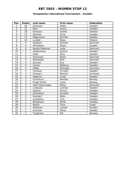### **Kungsbacka International Tournament / Sweden**

| Pos.            | <b>Points</b>  | Last name        | First name   | <b>Federation</b> |
|-----------------|----------------|------------------|--------------|-------------------|
| 1               | 30             | Johnsson         | Helen        | Sweden            |
| $\overline{a}$  | 21             | Micic            | Vesna        | Sweden            |
| $\overline{3}$  | 18             | Karlsson         | Anette       | Sweden            |
| 4               | 15             | Ekström          | Anna         | Sweden            |
| 5               | 12             | Magnusson        | Pernilla     | Sweden            |
| 6               | 10             | Lundén           | Reija        | Finland           |
| 7               | 6              | Kjeldsen         | Kamilla      | Denmark           |
| 8               | 6              | Alfredsson       | Diana        | Sweden            |
| 9               | 6              | Haubo Pedersen   | Lotte        | Denmark           |
| 10              | $\overline{5}$ | Haakonsson       | Jessica      | Sweden            |
| 11              | $\overline{5}$ | Flack            | Nina         | Sweden            |
| 12              | $\overline{5}$ | Simonsen         | <b>Rikke</b> | <b>Denmark</b>    |
| 13              | $\overline{4}$ | <b>Bröndsted</b> | <b>Britt</b> | Denmark           |
| 14              | $\overline{4}$ | Jönsson          | Eva          | Sweden            |
| 15              | $\overline{4}$ | Larsen           | Rebecca      | Sweden            |
| 16              | $\overline{4}$ | Göbel            | Michaela     | Germany           |
| 17              | $\overline{4}$ | Carlsson         | Christel     | Sweden            |
| 18              | $\overline{3}$ | Schwarz          | Patricia     | Germany           |
| 19              | $\overline{3}$ | Haglund          | Linda        | Sweden            |
| 20              | $\overline{3}$ | Gunnerud         | Pernille     | Norway            |
| $\overline{21}$ | $\overline{3}$ | Kragh Eckell     | Irene        | Norway            |
| 22              | $\overline{3}$ | Holm Rasmussen   | Rikke        | Denmark           |
| 23              | $\overline{2}$ | Lindqvist        | Camilla      | Sweden            |
| 24              | $\overline{2}$ | Nyborg           | Emma         | Sweden            |
| $\overline{25}$ | $\overline{2}$ | Johansson        | Annette      | Sweden            |
| 26              | $\overline{2}$ | Glendert         | Malin        | Sweden            |
| 27              | $\overline{2}$ | Gustafzon        | Tina         | Sweden            |
| 28              | 1              | Bengtsson        | Marie        | Sweden            |
| 29              | 1              | Wilner           | Tana         | <b>Israel</b>     |
| 30              | 1              | Wellstam         | Justina      | Sweden            |
| 31              | 1              | Karlsson         | Marie        | Sweden            |
| 32              | 1              | Torgersen        | Pat          | Norway            |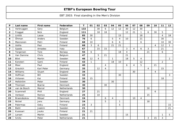|  |  |  | EBT 2003: Final standing in the Men's Division |  |  |  |  |
|--|--|--|------------------------------------------------|--|--|--|--|
|--|--|--|------------------------------------------------|--|--|--|--|

| P                       | Last name     | First name    | Federation  | $\mathsf{T}$ | 01             | 02 | 03             | 04             | 05           | 06             | 07             | 08             | 09             | 10             | 11             | 12             |
|-------------------------|---------------|---------------|-------------|--------------|----------------|----|----------------|----------------|--------------|----------------|----------------|----------------|----------------|----------------|----------------|----------------|
| 1                       | Verbruggen    | Gery          | Belgium     | 132          |                | 30 | 6              | 12             | 12           | 30             | 12             | 30             |                |                |                |                |
| $\overline{2}$          | Froggat       | <b>Nick</b>   | England     | 111          |                | 18 | 18             |                |              | 12             | 21             | $\mathbf{1}$   | 6              | 30             | 5              |                |
| 3                       | Lintilä       | Lasse         | Finland     | 85           | 30             |    |                |                | 15           |                |                | 18             |                |                | $\overline{4}$ | 18             |
| 4                       | Öhman         | Anders        | Sweden      | 76           | 6              |    |                | 5              | 4            | 10             |                | 21             |                |                | 30             |                |
| 5                       | Mannonen      | Petri         | Finland     | 68           | 10             |    |                | 6              | 6            |                |                | 6              |                |                | 10             | 30             |
| 6                       | Uotila        | Pasi          | Finland     | 68           | $\mathfrak{Z}$ | 6  |                | 21             | 21           |                |                |                |                | 4              | 12             | $\mathbf{1}$   |
| $\overline{\mathbf{z}}$ | Spada         | Amadeo        | Italy       | 67           |                | 15 | 15             |                |              | $\overline{3}$ | $\overline{4}$ | 6              | 3              |                | 21             |                |
| 8                       | Torgersen     | Tore          | Norway      | 55           | 6              |    |                |                | 18           | $\overline{4}$ |                |                | 21             |                | 6              |                |
| 9                       | Van Damme     | Chris         | Belgium     | 47           |                | 5  | 21             |                |              | 21             |                |                |                |                |                |                |
| 10                      | Blixt         | Martin        | Sweden      | 46           | 12             | 4  |                | $\mathbf{1}$   |              | 18             | 5              | 4              |                |                |                | $\overline{2}$ |
| $11$                    | Konsteri      | Sami          | Finland     | 43           | $\mathbf{1}$   |    |                | 18             | 10           |                |                | 12             |                |                | $\overline{2}$ |                |
| $12$                    | Moor          | Paul          | England     | 40           |                |    | $\overline{4}$ |                |              | 6              | $\overline{4}$ | 5              |                | 21             |                |                |
| 13                      | Greulich      | Karl Peter    | Germany     | 35           |                | 12 | $\overline{4}$ |                |              |                |                |                | $\overline{4}$ |                | 15             |                |
| 14                      | Williams      | Stuart        | England     | 34           |                |    |                |                |              |                | 30             |                |                | $\overline{4}$ |                |                |
| 15                      | Hoffman       | Bill          | Sweden      | 33           |                |    |                |                | 30           |                |                |                |                |                |                | 3              |
| 16                      | Virtanen      | Kai           | Finland     | 33           | 15             |    |                |                |              |                |                |                |                |                | 18             |                |
| 17                      | Hellström     | Peter         | Sweden      | 30           |                |    |                | 30             |              |                |                |                |                |                |                |                |
| 18                      | Thomsen       | <b>Bjarne</b> | Denmark     | 30           |                |    | 30             |                |              |                |                |                |                |                |                |                |
| 19                      | van de Bosch  | Marcel        | Netherlands | 30           |                |    |                |                |              |                |                |                | 30             |                |                |                |
| 20                      | Scammell      | Phill         | England     | 27           |                | 21 |                |                |              |                |                |                |                | 6              |                |                |
| 21                      | Verboon       | Remco         | Netherlands | 25           |                | 10 |                |                |              |                |                |                | 15             |                |                |                |
| 22                      | Braendeskov   | Mikael        | Denmark     | 24           |                |    | 6              | $\overline{4}$ |              |                | 10             | $\overline{4}$ |                |                |                |                |
| 23                      | <b>Nickel</b> | Jens          | Germany     | 24           |                |    | 5              |                | $\mathbf{1}$ |                |                |                | 18             |                |                |                |
| 24                      | Palermaa      | Osku          | Finland     | 23           | $\mathfrak{Z}$ |    |                |                | 5            |                |                |                |                |                |                | 15             |
| 25                      | <b>Biehl</b>  | Joakim        | Sweden      | 21           |                |    |                |                |              |                |                |                |                |                |                | 21             |
| 26                      | Kuossari      | Jouko         | Finland     | 21           | 21             |    |                |                |              |                |                |                |                |                |                |                |
| 27                      | Larsen        | Martin        | Sweden      | 21           |                |    |                |                |              | 15             |                |                |                |                | 1              | 5              |
| 28                      | Smits         | Peter         | Netherlands | 21           |                |    |                |                |              |                |                |                | 3              | 15             | 3              |                |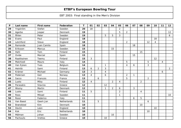| P  | Last name        | <b>First name</b> | Federation  | T.   | 01             | 02             | 03               | 04             | 05             | 06             | 07           | 08             | 09             | 10             | 11             | 12              |
|----|------------------|-------------------|-------------|------|----------------|----------------|------------------|----------------|----------------|----------------|--------------|----------------|----------------|----------------|----------------|-----------------|
| 29 | Yngström         | Stefan            | Sweden      | 20   | 18             |                |                  |                | $\overline{2}$ |                |              |                |                |                |                |                 |
| 30 | Agerbo           | Jesper            | Denmark     | 19   |                |                |                  |                | 5              | $\overline{2}$ |              |                |                |                |                | 12              |
| 31 | Åhlen            | Peter             | Sweden      | 19   |                |                | 5                | 5              | 3              |                |              |                |                |                |                | 6               |
| 32 | Evans            | Paul              | England     | 18   |                |                |                  |                |                |                |              |                |                | 18             |                |                 |
| 33 | Letchford        | <b>Steve</b>      | England     | 18   |                |                |                  |                |                | $\overline{2}$ |              |                | 12             | $\overline{4}$ |                |                 |
| 34 | Ramonde          | Juan Camilo       | Spain       | 18   |                |                |                  |                |                |                | 18           |                |                |                |                |                 |
| 35 | Eriksson         | Marcus            | Sweden      | 15   |                |                |                  | 15             |                |                |              |                |                |                |                |                 |
| 36 | Hahl             | Tom               | Finland     | 15   |                |                |                  |                |                |                |              | 15             |                |                |                |                 |
| 37 | Ovide            | Marcial           | Spain       | 15   |                |                |                  |                |                |                | 15           |                |                |                |                |                 |
| 38 | Raatikainen      | Teemu             | Finland     | 15   | 3              |                |                  |                |                |                |              |                |                | 12             |                |                 |
| 39 | Malchiodi        | Mauro             | Italy       | 14   |                |                |                  |                |                | 5              |              |                | 5              |                | $\overline{4}$ |                 |
| 40 | Van Eyken        | Yves              | Belgium     | 14   |                |                | $\mathbf{1}$     |                |                | $\overline{4}$ | 6            |                | 3              |                |                |                 |
| 41 | Heinilä          | Sami              | Finland     | 13   | 6              | $\overline{2}$ | $\mathbf{3}$     |                |                |                |              |                |                |                |                | $\overline{2}$  |
| 42 | Krämer           | Michael           | Germany     | 13   | 3              |                | $\overline{4}$   |                |                |                |              |                |                |                | 6              |                 |
| 43 | Pedersen         | Geir              | Norway      | 13   | $\overline{4}$ |                | $\boldsymbol{6}$ |                |                | $\overline{a}$ | $\mathbf{1}$ |                |                |                |                |                 |
| 44 | Sacco            | Francois          | France      | 13   |                | 6              |                  |                |                | 5              |              |                | $\overline{2}$ |                |                |                 |
| 45 | Luoto            | Mika              | Finland     | 12   | $\overline{4}$ |                |                  | $\overline{2}$ | 4              |                |              | $\overline{2}$ |                |                |                |                 |
| 46 | Parasakis        | Stavros           | Greece      | 12   |                |                | 12               |                |                |                |              |                |                |                |                |                 |
| 47 | Wozny            | Martin            | Denmark     | $12$ |                |                | -1               | $\overline{2}$ | 6              |                | 3            |                |                |                |                |                 |
| 48 | Luoto            | Sami              | Finland     | 11   | 5              |                |                  |                | $\overline{2}$ |                |              | 4              |                |                |                |                 |
| 49 | Roos             | Mikael            | Sweden      | 11   |                |                |                  |                | 1              |                |              |                |                |                |                | 10 <sup>°</sup> |
| 50 | Rossi            | Federico          | Italy       | 11   |                |                |                  |                |                |                | 6            | 5              |                |                |                |                 |
| 51 | Van Baest        | Geert-Jan         | Netherlands | 11   |                | 5              |                  |                |                |                |              |                | 6              |                |                |                 |
| 52 | <b>Brøndsted</b> | Kim               | Denmark     | 10   |                |                |                  |                |                |                |              | 10             |                |                |                |                 |
| 53 | Devlin           | Leon              | England     | 10   |                |                |                  |                |                |                |              |                |                | 10             |                |                 |
| 54 | Kok              | Eric              | Netherlands | 10   |                |                |                  |                |                |                |              |                | 10             |                |                |                 |
| 55 | Mälman           | Johan             | Sweden      | 10   |                |                |                  | 10             |                |                |              |                |                |                |                |                 |
| 56 | Pachoulis        | Vrettos           | Greece      | 10   |                |                | 10               |                |                |                |              |                |                |                |                |                 |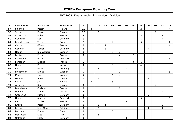| P  | Last name    | <b>First name</b> | Federation | T                       | 01             | 02             | 03          | 04             | 05             | 06 | 07 | 08             | 09           | 10           | 11             | 12             |
|----|--------------|-------------------|------------|-------------------------|----------------|----------------|-------------|----------------|----------------|----|----|----------------|--------------|--------------|----------------|----------------|
| 57 | Salonen      | Petteri           | Finland    | 10                      | $\overline{4}$ |                |             |                |                |    |    | $\overline{2}$ |              |              |                | $\overline{4}$ |
| 58 | Stride       | Daniel            | England    | 10                      |                | 3              |             |                |                |    |    |                | $\mathbf{1}$ | 6            |                |                |
| 59 | Andersson    | Robert            | Sweden     | 9                       |                |                |             |                |                |    |    | 3              |              |              | $\mathbf{1}$   | 5              |
| 60 | Guenther     | Kai               | Germany    | 9                       |                |                | 4           |                |                |    |    | $\mathbf{1}$   |              |              | $\overline{4}$ |                |
| 61 | Leandersson  | Tomas             | Sweden     | 9                       |                |                |             | $\overline{2}$ |                |    |    | 6              |              |              |                | $\mathbf{1}$   |
| 62 | Carlsson     | Göran             | Sweden     | 8                       |                |                | 2           |                |                |    |    | $\overline{2}$ |              |              |                | $\overline{4}$ |
| 63 | Gaebler      | Tobias            | Germany    | 8                       |                |                | 3           |                |                |    |    |                | 5            |              |                |                |
| 64 | Haugen       | Kim Asbjorn       | Sweden     | 8                       |                |                |             | 6              | $\overline{2}$ |    |    |                |              |              |                |                |
| 65 | <b>Backe</b> | Patrick           | Sweden     | $\overline{7}$          |                |                |             |                | 4              |    | 3  |                |              |              |                |                |
| 66 | Bögehave     | Martin            | Denmark    | $\overline{\mathbf{z}}$ |                |                |             |                |                | 1  |    |                |              |              |                | 6              |
| 67 | Forestier    | Nicolas           | France     | $\overline{7}$          |                |                |             |                |                |    | 6  | $\mathbf{1}$   |              |              |                |                |
| 68 | Hansen       | Petter            | Norway     | $\overline{\mathbf{z}}$ |                |                |             | 3              |                |    |    | 4              |              |              |                |                |
| 69 | Lapp         | Peter             | Germany    | $\overline{\mathbf{z}}$ |                | 4              |             |                |                | 3  |    |                |              |              |                |                |
| 70 | Linderholm   | <b>Niklas</b>     | Sweden     | $\overline{\mathbf{z}}$ |                |                |             |                | 1              |    |    |                |              |              |                | 6              |
| 71 | Mack         | Tim               | Sweden     | $\overline{\mathbf{z}}$ |                |                |             | $\overline{4}$ | 3              |    |    |                |              |              |                |                |
| 72 | Nicolas      | Alain             | France     | $\overline{\mathbf{z}}$ |                | 3              |             |                |                |    |    |                | 4            |              |                |                |
| 73 | Ratia        | Jari              | Finland    | $\overline{\mathbf{z}}$ | 3              |                |             | 3              |                |    |    |                |              | $\mathbf{1}$ |                |                |
| 74 | Anselmo      | Keith             | England    | 6                       |                |                |             |                |                |    |    |                |              | 6            |                |                |
| 75 | Danielsson   | Christer          | Sweden     | 6                       |                |                |             |                | 6              |    |    |                |              |              |                |                |
| 76 | Gonaus       | Walter            | Austria    | 6                       |                |                |             |                |                |    |    |                |              |              | 6              |                |
| 77 | Grabowac     | Michael           | Germany    | 6                       |                |                |             |                |                |    |    |                | 6            |              |                |                |
| 78 | Hansen       | Anders            | Denmark    | 6                       |                |                |             |                |                |    |    | 3              |              |              |                | 3              |
| 79 | Karlsson     | Tobias            | Sweden     | 6                       |                |                |             |                |                | 6  |    |                |              |              |                |                |
| 80 | Knopp        | Peter             | Germany    | 6                       |                | $\overline{2}$ | $\mathbf 1$ |                |                |    |    |                |              |              | 3              |                |
| 81 | Lebon        | Jean Marc         | Belgium    | 6                       |                | $\overline{2}$ |             |                |                |    |    |                | 3            |              | $\mathbf{1}$   |                |
| 82 | Lehtonen     | Kimmo             | Finland    | 6                       |                |                |             | 6              |                |    |    |                |              |              |                |                |
| 83 | Mantovani    | Luca              | Italy      | 6                       |                | 6              |             |                |                |    |    |                |              |              |                |                |
| 84 | Ohlrogge     | Holger            | Germany    | 6                       |                |                |             |                |                | 6  |    |                |              |              |                |                |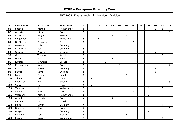| P   | Last name    | <b>First name</b> | Federation  | T                       | 01 | 02 | 03 | 04           | 05             | 06             | 07 | 08 | 09             | 10           | 11             | 12             |
|-----|--------------|-------------------|-------------|-------------------------|----|----|----|--------------|----------------|----------------|----|----|----------------|--------------|----------------|----------------|
| 85  | Sassen       | Michael           | Netherlands | 6                       |    |    |    |              |                |                |    |    |                | $\mathbf{1}$ | 5              |                |
| 86  | Ahlqvist     | Michael           | Sweden      | 5                       |    |    |    |              |                |                |    |    |                |              |                | 5              |
| 87  | Andersson    | Magnus            | Sweden      | 5                       |    |    |    | $\mathbf{1}$ |                | $\overline{4}$ |    |    |                |              |                |                |
| 88  | Bleijenberg  | Arjan             | Netherlands | 5                       |    | 5  |    |              |                |                |    |    |                |              |                |                |
| 89  | De Munico    | Cristophe         | France      | 5                       |    |    |    |              |                |                | 5  |    |                |              |                |                |
| 90  | Diesener     | Thilo             | Germany     | 5                       |    |    |    |              | 5              |                |    |    |                |              |                |                |
| 91  | Grabowski    | Achim             | Germany     | 5                       |    |    |    |              |                |                |    | 5  |                |              |                |                |
| 92  | Greenall     | Wayne             | England     | 5                       |    |    |    |              |                |                |    |    |                | 5            |                |                |
| 93  | Gross        | Thomas            | Austria     | 5                       |    |    |    |              |                |                |    |    |                |              | 5              |                |
| 94  | Halme        | Ari               | Finland     | 5                       |    |    |    | 5            |                |                |    |    |                |              |                |                |
| 95  | Karetsos     | <b>Dimitrios</b>  | Greece      | 5                       |    |    | 5  |              |                |                |    |    |                |              |                |                |
| 96  | Kemppainen   | Jouni             | Sweden      | 5                       |    |    |    |              | 3              |                |    |    |                |              |                | $\overline{2}$ |
| 97  | <b>Kreis</b> | Bernd             | Germany     | 5                       |    |    |    |              |                |                |    |    |                | 5            |                |                |
| 98  | Parker       | Dave              | England     | 5                       |    |    |    |              |                |                |    |    |                | 5            |                |                |
| 99  | Rabin        | Yahav             | Israel      | 5                       |    |    |    |              |                | 5              |    |    |                |              |                |                |
| 100 | Siltala      | Kai               | Finland     | 5                       | 5  |    |    |              |                |                |    |    |                |              |                |                |
| 101 | Svensson     | Par               | Sweden      | 5                       |    |    |    |              | $\overline{2}$ |                |    |    |                |              |                | 3              |
| 102 | Saarni       | Marko             | Finland     | 5                       | 5  |    |    |              |                |                |    |    |                |              |                |                |
| 103 | Thienpondt   | <b>Nico</b>       | Netherlands | 5                       |    |    |    |              |                |                |    |    | $\overline{2}$ |              | 3              |                |
| 104 | Vaglia       | Vittorio          | Italy       | 5                       |    |    |    |              |                |                | 5  |    |                |              |                |                |
| 105 | Veerdonk     | Patrick           | Netherlands | 5                       |    |    |    |              |                |                |    |    | 5              |              |                |                |
| 106 | Appelberg    | Fredrik           | Sweden      | 4                       |    |    |    | 4            |                |                |    |    |                |              |                |                |
| 107 | Aviram       | <b>Or</b>         | Israel      | $\overline{\mathbf{4}}$ |    |    |    |              |                | $\overline{4}$ |    |    |                |              |                |                |
| 108 | <b>Blase</b> | Oliver            | Germany     | 4                       |    |    |    |              |                |                |    |    |                |              | $\overline{4}$ |                |
| 109 | Broström     | Oscar             | Sweden      | 4                       |    |    |    |              |                |                |    |    |                |              |                | $\overline{4}$ |
| 110 | Dreyer       | <b>Dirk</b>       | Germany     | 4                       |    |    |    |              |                |                |    |    | $\overline{4}$ |              |                |                |
| 111 | Faraglia     | Sam               | France      | 4                       |    |    |    |              |                | 4              |    |    |                |              |                |                |
| 112 | Fiorani      | Luciano           | Switzerland | 4                       |    |    |    |              |                |                |    |    |                |              | 4              |                |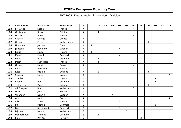| $\boldsymbol{\mathsf{P}}$ | Last name      | <b>First name</b> | Federation  | $\mathbf T$             | 01             | 02           | 03             | 04             | 05 | 06 | 07             | 08             | 09 | 10 | 11 | 12             |
|---------------------------|----------------|-------------------|-------------|-------------------------|----------------|--------------|----------------|----------------|----|----|----------------|----------------|----|----|----|----------------|
| 113                       | Frouvelle      | Serge             | France      | 4                       |                |              |                |                |    |    | $\overline{4}$ |                |    |    |    |                |
| 114                       | Gastmans       | <b>Steve</b>      | Belgium     | 4                       |                | 4            |                |                |    |    |                |                |    |    |    |                |
| 115                       | Gozzo          | Alain             | France      | 4                       |                |              |                |                |    |    | $\overline{4}$ |                |    |    |    |                |
| 116                       | Grekas         | George            | Greece      | $\overline{\mathbf{4}}$ |                |              | $\overline{4}$ |                |    |    |                |                |    |    |    |                |
| 117                       | Groen          | Erwin             | Netherlands | 4                       |                |              |                |                |    |    |                |                | 4  |    |    |                |
| 118                       | Huolman        | Joonas            | Finland     | 4                       | $\overline{4}$ |              |                |                |    |    |                |                |    |    |    |                |
| 119                       | Jansson        | Raymond           | Sweden      | 4                       |                |              |                |                | 4  |    |                |                |    |    |    |                |
| 120                       | Kallio         | Juuso             | Finland     | 4                       | $\overline{4}$ |              |                |                |    |    |                |                |    |    |    |                |
| 121                       | Klujeff        | Henrik            | Denmark     | $\overline{4}$          |                |              |                |                | 4  |    |                |                |    |    |    |                |
| 122                       | Luers          | Peer              | Germany     | $\overline{\mathbf{4}}$ |                | 4            |                |                |    |    |                |                |    |    |    |                |
| 123                       | Marin          | Jean Marc         | France      | 4                       |                | 4            |                |                |    |    |                |                |    |    |    |                |
| 124                       | Ocando         | Melvin            | Spain       | 4                       |                |              |                |                |    |    | 4              |                |    |    |    |                |
| 125                       | Pujol          | Bertrand          | France      | 4                       |                |              |                |                |    |    |                | $\overline{4}$ |    |    |    |                |
| 126                       | Ross           | Mickael           | England     | 4                       |                | $\mathbf{1}$ |                |                |    |    |                |                | 3  |    |    |                |
| 127                       | Sjögren        | Jonas             | Sweden      | 4                       |                |              |                |                |    |    |                |                |    |    |    | 4              |
| 128                       | <b>Staples</b> | Tont              | England     | 4                       |                |              |                |                |    |    |                |                |    | 4  |    |                |
| 129                       | Sydow          | Ralf              | Germany     | 4                       |                |              |                |                |    |    |                |                |    | 4  |    |                |
| 130                       | v. Damme       | Yves              | Belgium     | 4                       |                |              |                |                |    |    |                |                | 4  |    |    |                |
| 131                       | vd Boogard     | Ron               | Netherlands | 4                       |                |              |                |                |    |    | 3              |                | 1  |    |    |                |
| 132                       | Wall           | John              | Sweden      | 4                       |                |              |                | $\overline{4}$ |    |    |                |                |    |    |    |                |
| 133                       | Wilander       | Dennie            | Sweden      | 4                       |                |              |                | $\overline{4}$ |    |    |                |                |    |    |    |                |
| 134                       | Årup           | Matias            | Sweden      | $\overline{\mathbf{4}}$ |                |              |                |                |    |    |                |                |    |    |    | $\overline{4}$ |
| 135                       | Alix           | Yoan              | France      | 3                       |                |              |                |                | 3  |    |                |                |    |    |    |                |
| 136                       | Bai            | Michael           | Denmark     | $\mathbf{3}$            |                |              |                |                |    |    |                |                |    | 3  |    |                |
| 137                       | <b>Bak</b>     | Niels Jakob       | Denmark     | 3                       |                |              |                |                | 3  |    |                |                |    |    |    |                |
| 138                       | Bijman         | Marco             | Netherlands | 3                       |                |              |                |                |    | 3  |                |                |    |    |    |                |
| 139                       | Dennechaud     | Thomas            | Germany     | $\mathbf{3}$            |                | $\sqrt{3}$   |                |                |    |    |                |                |    |    |    |                |
| 140                       | Eide           | Per Kr.           | Norway      | 3                       |                |              |                |                |    |    |                | 3              |    |    |    |                |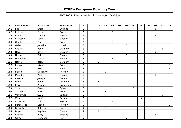| P   | Last name       | <b>First name</b> | Federation  | T              | 01 | 02             | 03             | 04             | 05 | 06             | 07             | 08 | 09 | 10             | $11$ | 12 <sub>2</sub> |
|-----|-----------------|-------------------|-------------|----------------|----|----------------|----------------|----------------|----|----------------|----------------|----|----|----------------|------|-----------------|
| 141 | <b>Ellis</b>    | Craig             | England     | 3              |    |                |                |                |    |                |                |    |    | 3              |      |                 |
| 142 | Eriksson        | Peter             | Sweden      | 3              |    |                |                | 3              |    |                |                |    |    |                |      |                 |
| 143 | Finch           | Wayne             | England     | 3              |    |                |                |                |    |                |                |    |    | 3              |      |                 |
| 144 | Fransson        | Tony              | Sweden      | $\mathbf{3}$   |    |                |                |                |    |                |                | 3  |    |                |      |                 |
| 145 | Gauffin         | Claes             | Sweden      | $\mathbf{3}$   |    |                |                | 3              |    |                |                |    |    |                |      |                 |
| 146 | Geller          | Jonathan          | Israel      | 3              |    |                |                |                |    | $\mathbf{3}$   |                |    |    |                |      |                 |
| 147 | Greve           | <b>Bodo</b>       | Germany     | 3              |    |                |                |                |    |                |                |    |    |                | 3    |                 |
| 148 | Haw             | Kevin             | England     | 3              |    |                |                |                |    |                |                |    |    | 3              |      |                 |
| 149 | Hodge           | Keith             | England     | 3              |    |                |                |                |    | 3              |                |    |    |                |      |                 |
| 150 | Holmberg        | Tomas             | Sweden      | 3              |    |                |                | 3              |    |                |                |    |    |                |      |                 |
| 151 | Horne           | Barry             | Germany     | 3              |    | 3              |                |                |    |                |                |    |    |                |      |                 |
| 152 | Kanold          | Mikael            | Sweden      | 3              |    |                |                |                |    |                |                |    |    |                |      | 3               |
| 153 | Lahti           | Mika              | Finland     | 3              |    |                |                |                |    |                |                |    |    |                |      | $\mathfrak{Z}$  |
| 154 | Lislien         | Oli Johnni        | Norway      | $\mathbf{3}$   |    |                | 3              |                |    |                |                |    |    |                |      |                 |
| 155 | McArdle         | Paul              | England     | $\mathbf{3}$   |    |                |                |                |    |                |                |    |    | 3              |      |                 |
| 156 | <b>Mertiris</b> | Joseph            | Greece      | 3              |    |                | 3              |                |    |                |                |    |    |                |      |                 |
| 157 | Meyer           | Ralph             | Germany     | $\mathbf{3}$   |    | 3              |                |                |    |                |                |    |    |                |      |                 |
| 158 | Privat          | Philippe          | Switzerland | $\mathbf{3}$   |    |                |                |                |    |                | 3              |    |    |                |      |                 |
| 159 | Soler           | Oscar             | Spain       | 3              |    |                |                |                |    |                | $\mathfrak{Z}$ |    |    |                |      |                 |
| 160 | Tzounis         | Alex              | Greece      | 3              |    |                | 3              |                |    |                |                |    |    |                |      |                 |
| 161 | Van Eyken       | Sven              | Belgium     | $\mathbf{3}$   |    |                |                |                |    |                |                |    |    |                | 3    |                 |
| 162 | Zabel           | Manfred           | Germany     | 3              |    |                |                |                |    |                |                | 3  |    |                |      |                 |
| 163 | Andersin        | Erik              | Sweden      | $\overline{2}$ |    |                |                | $\overline{2}$ |    |                |                |    |    |                |      |                 |
| 164 | Borgersrud      | Espen             | Norway      | $\overline{2}$ |    |                |                |                |    |                |                |    |    |                |      | $\overline{2}$  |
| 165 | Boscatto        | Roberto           | Italy       | $\overline{2}$ |    |                | $\overline{2}$ |                |    |                |                |    |    |                |      |                 |
| 166 | Boyer           | Baptiste          | France      | $\overline{2}$ |    | $\overline{2}$ |                |                |    |                |                |    |    |                |      |                 |
| 167 | Cheong          | Ricky             | England     | $\overline{2}$ |    |                |                |                |    |                |                |    |    | $\overline{2}$ |      |                 |
| 168 | Conte           | Giuseppe          | Italy       | $\overline{2}$ |    |                |                |                |    | $\overline{a}$ |                |    |    |                |      |                 |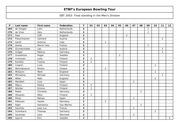| ${\sf P}$ | Last name     | First name    | Federation  | T.                      | 01             | 02 | 03             | 04 | 05             | 06             | 07             | 08             | 09             | 10             | 11             | 12             |
|-----------|---------------|---------------|-------------|-------------------------|----------------|----|----------------|----|----------------|----------------|----------------|----------------|----------------|----------------|----------------|----------------|
| 169       | de Hoogen     | John          | Netherlands | $\overline{2}$          |                |    |                |    |                |                |                |                | $\overline{2}$ |                |                |                |
| 170       | de Vries      | Alex          | Netherlands | $\overline{2}$          |                |    |                |    |                |                |                |                | $\overline{2}$ |                |                |                |
| 171       | Dew           | Cliff         | England     | $\overline{2}$          |                |    |                |    |                | $\overline{2}$ |                |                |                |                |                |                |
| 172       | Fleischhacker | Gerhard       | Austria     | $\overline{2}$          |                |    |                |    |                |                |                |                |                |                | 2              |                |
| 173       | Garilli       | Antonio       | Italy       | $\overline{2}$          |                |    | 2              |    |                |                |                |                |                |                |                |                |
| 174       | Gonzo         | Pierre Yves   | France      | $\overline{2}$          |                |    |                |    |                |                |                |                | $\overline{2}$ |                |                |                |
| 175       | Grundschober  | Leo           | Austria     | $\overline{2}$          |                |    |                |    |                |                |                |                |                |                | $\overline{2}$ |                |
| 176       | Gröger        | Markus        | Germany     | $\overline{2}$          |                |    |                |    |                |                |                |                |                |                | $\overline{2}$ |                |
| 177       | Gustafsson    | Roger         | Sweden      | $\overline{2}$          |                |    |                |    | $\overline{2}$ |                |                |                |                |                |                |                |
| 178       | Immonen       | Juha          | Finland     | $\overline{2}$          | $\overline{2}$ |    |                |    |                |                |                |                |                |                |                |                |
| 179       | Konttila      | Tuomo         | Finland     | $\overline{2}$          | $\overline{2}$ |    |                |    |                |                |                |                |                |                |                |                |
| 180       | Lingren       | Jussi         | Finland     | $\overline{2}$          |                |    |                |    |                |                |                |                |                | $\overline{a}$ |                |                |
| 181       | Marmatsouris  | <b>Nickos</b> | Greece      | $\overline{2}$          |                |    | $\overline{2}$ |    |                |                |                |                |                |                |                |                |
| 182       | McGlynn       | Mark          | England     | $\overline{2}$          |                |    |                |    |                |                |                |                |                | $\overline{2}$ |                |                |
| 183       | Michajlow     | Michael       | Germany     | $\overline{2}$          |                |    |                |    |                |                |                |                |                |                | $\overline{2}$ |                |
| 184       | Miller        | Matt          | England     | $\overline{2}$          |                |    |                |    |                |                |                |                |                | $\overline{a}$ |                |                |
| 185       | Montfort      | Lluis         | Spain       | $\overline{2}$          |                |    |                |    |                |                | $\overline{2}$ |                |                |                |                |                |
| 186       | Mäyry         | Pekka         | Finland     | $\overline{2}$          | $\overline{2}$ |    |                |    |                |                |                |                |                |                |                |                |
| 187       | Nicklen       | Kimmo         | Finland     | $\overline{2}$          | $\overline{2}$ |    |                |    |                |                |                |                |                |                |                |                |
| 188       | Nokel         | Christian     | Germany     | $\overline{\mathbf{2}}$ |                |    |                |    |                |                |                | $\overline{2}$ |                |                |                |                |
| 189       | Oksanen       | Mika          | Finland     | $\overline{2}$          | $\overline{2}$ |    |                |    |                |                |                |                |                |                |                |                |
| 190       | Perez         | Moises        | Spain       | $\overline{\mathbf{2}}$ |                |    |                |    |                |                | $\overline{2}$ |                |                |                |                |                |
| 191       | Petersen      | Hauke         | Germany     | $\overline{2}$          |                |    | 2              |    |                |                |                |                |                |                |                |                |
| 192       | Righi         | Domenico      | San Marino  | $\overline{2}$          |                |    |                |    |                |                |                | $\overline{2}$ |                |                |                |                |
| 193       | Sanchez       | Jean Luc      | France      | $\overline{2}$          |                |    |                |    |                |                | $\overline{2}$ |                |                |                |                |                |
| 194       | Schinkario    | Thomas        | Germany     | $\overline{2}$          |                |    |                |    |                |                |                |                |                | $\overline{2}$ |                |                |
| 195       | Sorensen      | Jens          | Denmark     | $\overline{2}$          |                |    |                |    |                |                | $\overline{2}$ |                |                |                |                |                |
| 196       | Sparre        | Kim           | Sweden      | $\overline{2}$          |                |    |                |    |                |                |                |                |                |                |                | $\overline{2}$ |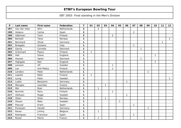| $\mathsf{P}$ | Last name    | First name   | Federation  | T              | 01           | 02             | 03           | 04             | 05           | 06           | 07             | 08           | 09           | 10           | 11           | 12           |
|--------------|--------------|--------------|-------------|----------------|--------------|----------------|--------------|----------------|--------------|--------------|----------------|--------------|--------------|--------------|--------------|--------------|
| 197          | Van Der Veen | Wim          | Netherlands | $\overline{2}$ |              | $\overline{2}$ |              |                |              |              |                |              |              |              |              |              |
| 198          | Velasco      | Carlos       | Spain       | $\overline{2}$ |              |                |              |                |              |              | $\overline{2}$ |              |              |              |              |              |
| 199          | Vääninen     | Tomi         | Finland     | $\overline{2}$ |              |                |              | $\overline{2}$ |              |              |                |              |              |              |              |              |
| 200          | Barkald      | Terje        | Norway      | $\mathbf{1}$   |              |                |              |                |              |              |                |              |              |              |              | $\mathbf{1}$ |
| 201          | Bernhard     | Oliver       | Germany     | $\mathbf 1$    |              |                |              |                |              |              |                |              |              |              | $\mathbf{1}$ |              |
| 202          | Bulegato     | Giuliano     | Italy       | 1              |              |                |              |                |              |              | $\mathbf{1}$   |              |              |              |              |              |
| 203          | Garcia       | Cornelio     | Denmark     | 1              |              |                |              |                |              |              |                | 1            |              |              |              |              |
| 204          | Grönmark     | Paavo        | Finland     | 1              | $\mathbf{1}$ |                |              |                |              |              |                |              |              |              |              |              |
| 205          | Hall         | <b>Steve</b> | England     | $\mathbf{1}$   |              |                |              |                |              |              |                |              |              | $\mathbf{1}$ |              |              |
| 206          | Hansen       | Søren        | Denmark     | $\mathbf{1}$   |              |                |              |                |              |              |                | $\mathbf{1}$ |              |              |              |              |
| 207          | Highgate     | <b>Neil</b>  | England     | $\mathbf 1$    |              |                |              |                |              |              |                |              |              | $\mathbf 1$  |              |              |
| 208          | Jansson      | Ulf          | Sweden      | $\mathbf 1$    |              |                |              | 1              |              |              |                |              |              |              |              |              |
| 209          | Lax          | Anti Pekka   | Finland     | 1              |              |                |              | 1              |              |              |                |              |              |              |              |              |
| 210          | Lenders      | Peter        | Netherlands | 1              |              |                |              |                |              |              |                |              | $\mathbf{1}$ |              |              |              |
| 211          | Lepistö      | Matti        | Finland     | $\mathbf 1$    | $\mathbf{1}$ |                |              |                |              |              |                |              |              |              |              |              |
| 212          | Ljung        | Peter        | Sweden      | 1              |              |                |              |                |              |              |                |              |              |              |              | $\mathbf{1}$ |
| 213          | Lubitz       | Benjamin     | Germany     | $\mathbf{1}$   |              |                |              |                |              | $\mathbf{1}$ |                |              |              |              |              |              |
| 214          | Maragos      | Leonidas     | Greece      | $\mathbf 1$    |              |                | $\mathbf{1}$ |                |              |              |                |              |              |              |              |              |
| 215          | Mol          | Roel         | Netherlands | $\mathbf{1}$   |              | $\mathbf{1}$   |              |                |              |              |                |              |              |              |              |              |
| 216          | Nurmilo      | Panu         | Finland     | $\mathbf 1$    |              |                |              | $\mathbf{1}$   |              |              |                |              |              |              |              |              |
| 217          | Olofsson     | Roger        | Sweden      | 1              |              |                |              |                |              | $\mathbf{1}$ |                |              |              |              |              |              |
| 218          | Olsen        | Stian        | Norway      | 1              |              |                | $\mathbf{1}$ |                |              |              |                |              |              |              |              |              |
| 219          | Olsson       | Mats         | Sweden      | 1              |              |                |              |                | $\mathbf{1}$ |              |                |              |              |              |              |              |
| 220          | Pascual      | Erwin        | Spain       | $\mathbf{1}$   |              |                |              |                |              |              | $\mathbf{1}$   |              |              |              |              |              |
| 221          | Punessen     | Harald       | Germany     | 1              |              |                |              |                |              |              |                |              | $\mathbf{1}$ |              |              |              |
| 222          | Ravez        | Jimmy        | Belgium     | $\mathbf{1}$   |              | $\mathbf{1}$   |              |                |              |              |                |              |              |              |              |              |
| 223          | Rodriguez    | Francisco    | Spain       | 1              |              |                |              |                |              |              | $\mathbf{1}$   |              |              |              |              |              |
| 224          | Rosier       | Pierre       | France      | 1              |              | $\mathbf{1}$   |              |                |              |              |                |              |              |              |              |              |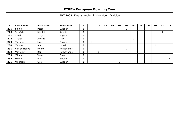| P   | Last name     | First name | Federation         | 01                       | 02 | 03 | 04 | 05 | 06 | 07 | 08 | 09 | 10 | 11 | 12 |
|-----|---------------|------------|--------------------|--------------------------|----|----|----|----|----|----|----|----|----|----|----|
| 225 | Sainio        | Peter      | Sweden             |                          |    |    |    |    |    |    |    |    |    |    |    |
| 226 | Schröder      | Nikolai    | Austria            |                          |    |    |    |    |    |    |    |    |    |    |    |
| 227 | Smith         | Tony       | England            |                          |    |    |    |    |    |    |    |    |    |    |    |
| 228 | Triulci       | Andrea     | Italy              |                          |    |    |    |    |    |    |    |    |    |    |    |
| 229 | Turtiainen    | Jussi      | Finland            | ◢                        |    |    |    |    |    |    |    |    |    |    |    |
| 230 | Vaisman       | Alan       | Israel             |                          |    |    |    |    |    |    |    |    |    |    |    |
| 231 | van de Heuvel | Menno      | <b>Netherlands</b> |                          |    |    |    |    |    |    |    |    |    |    |    |
| 232 | Van Zeist     | Ron        | <b>Netherlands</b> |                          |    |    |    |    |    |    |    |    |    |    |    |
| 233 | Villman       | Vesa       | Finland            | $\overline{\phantom{a}}$ |    |    |    |    |    |    |    |    |    |    |    |
| 234 | Wedin         | Björn      | Sweden             |                          |    |    |    |    |    |    |    |    |    |    |    |
| 235 | Wikstrom      | Ove        | Sweden             |                          |    |    |    |    |    |    |    |    |    |    |    |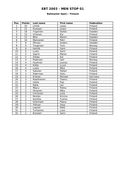#### **Ballmaster Open / Finland**

| Pos.                     | <b>Points</b>           | Last name    | <b>First name</b> | Federation |
|--------------------------|-------------------------|--------------|-------------------|------------|
| 1                        | 30                      | Lintilä      | Lasse             | Finland    |
| $\overline{2}$           | 21                      | Kuossari     | Jouko             | Finland    |
| $\overline{3}$           | 18                      | Yngström     | Stefan            | Sweden     |
| $\overline{\mathcal{A}}$ | 15                      | Virtanen     | Kai               | Finland    |
| $\overline{5}$           | 12                      | <b>Blixt</b> | Martin            | Sweden     |
| 6                        | 10                      | Mannonen     | Petri             | Finland    |
| $\overline{7}$           | 6                       | Öhman        | Anders            | Sweden     |
| 8                        | 6                       | Torgersen    | Tore              | Norway     |
| $\overline{9}$           | 6                       | Heinilä      | Sami              | Finland    |
| 10                       | 5                       | Luoto        | Sami              | Finland    |
| 11                       | $\overline{5}$          | Saarni       | Marko             | Finland    |
| 12                       | $\overline{5}$          | Siltala      | Kai               | Finland    |
| 13                       | $\overline{4}$          | Pedersen     | Geir              | Norway     |
| 14                       | $\overline{4}$          | Huolman      | Joonas            | Finland    |
| 15                       | $\overline{4}$          | Kallio       | Juuso             | Finland    |
| 16                       | $\overline{4}$          | Luoto        | Mika              | Finland    |
| 17                       | $\overline{\mathbf{4}}$ | Salonen      | Petteri           | Finland    |
| 18                       | $\overline{3}$          | Palermaa     | Osku              | Finland    |
| 19                       | $\overline{3}$          | Krämer       | Michael           | Germany    |
| 20                       | $\overline{3}$          | Raatikainen  | Teemu             | Finland    |
| $\overline{21}$          | $\overline{3}$          | Uotila       | Pasi              | Finland    |
| 22                       | $\overline{3}$          | Ratia        | Jari              | Finland    |
| 23                       | $\overline{2}$          | Mäyry        | Pekka             | Finland    |
| $\overline{24}$          | $\overline{2}$          | Oksanen      | Mika              | Finland    |
| $\overline{25}$          | $\overline{2}$          | Immonen      | Juha              | Finland    |
| 26                       | $\overline{2}$          | Nicklen      | Kimmo             | Finland    |
| 27                       | $\overline{2}$          | Konttila     | Tuomo             | Finland    |
| 28                       | 1                       | Grönmark     | Paavo             | Finland    |
| 29                       | 1                       | Villman      | Vesa              | Finland    |
| 30                       | $\mathbf{1}$            | Lepistö      | Matti             | Finland    |
| 31                       | $\mathbf{1}$            | Turtiainen   | Jussi             | Finland    |
| 32                       | 1                       | Konsteri     | Sami              | Finland    |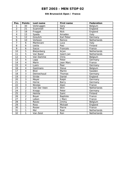#### **6th Brunswick Open / France**

| Pos.                    | <b>Points</b>            | Last name     | <b>First name</b> | Federation  |
|-------------------------|--------------------------|---------------|-------------------|-------------|
| 1                       | 30                       | Verbruggen    | Gery              | Belgium     |
| $\overline{2}$          | 21                       | Scammell      | Phill             | England     |
| $\overline{3}$          | 18                       | Froggat       | <b>Nick</b>       | England     |
| $\overline{\mathbf{4}}$ | 15                       | Spada         | Amadeo            | Italy       |
| $\overline{5}$          | $\overline{12}$          | Greulich      | Karl Peter        | Germany     |
| 6                       | 10                       | Verboon       | Remco             | Netherlands |
| $\overline{7}$          | 6                        | Mantovani     | Luca              | Italy       |
| 8                       | 6                        | Uotila        | Pasi              | Finland     |
| $\overline{9}$          | 6                        | Sacco         | Francois          | France      |
| 10                      | $\overline{5}$           | Bleijenberg   | Arjan             | Netherlands |
| 11                      | $\overline{5}$           | Van Baest     | Geert-Jan         | Netherlands |
| 12                      | $\overline{5}$           | Van Damme     | Chris             | Belgium     |
| 13                      | $\overline{\mathcal{A}}$ | Lapp          | Peter             | Germany     |
| 14                      | $\overline{\mathbf{4}}$  | Marin         | Jean Marc         | France      |
| 15                      | $\overline{4}$           | Luers         | Peer              | Germany     |
| 16                      | $\overline{\mathbf{4}}$  | Gastmans      | <b>Steve</b>      | Belgium     |
| 17                      | $\overline{\mathbf{4}}$  | <b>Blixt</b>  | Martin            | Sweden      |
| 18                      | 3                        | Dennechaud    | Thomas            | Germany     |
| 19                      | $\overline{3}$           | <b>Stride</b> | Daniel            | England     |
| 20                      | $\overline{3}$           | Meyer         | Ralph             | Germany     |
| 21                      | $\overline{3}$           | Horne         | Barry             | Germany     |
| 22                      | $\overline{3}$           | Nicolas       | Alain             | France      |
| 23                      | $\overline{2}$           | Van Der Veen  | Wim               | Netherlands |
| 24                      | $\overline{2}$           | Knopp         | Peter             | Germany     |
| $\overline{25}$         | $\overline{2}$           | Heinila       | Sami              | Finland     |
| 26                      | $\overline{2}$           | Boyer         | Baptiste          | France      |
| 27                      | $\overline{2}$           | Lebon         | J Marc            | France      |
| 28                      | 1                        | Ravez         | Jimmy             | Belgium     |
| 29                      | 1                        | <b>Ross</b>   | Mickael           | England     |
| 30                      | 1                        | Rosier        | Pierre            | France      |
| 31                      | 1                        | Mol           | Roel              | Netherlands |
| 32                      | 1                        | Van Zeist     | Ron               | Netherlands |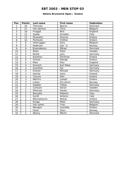#### **Athens Brunswick Open / Greece**

| Pos.                     | <b>Points</b>           | Last name       | <b>First name</b> | Federation     |
|--------------------------|-------------------------|-----------------|-------------------|----------------|
| 1                        | 30                      | Thomsen         | <b>Bjarne</b>     | Denmark        |
| $\overline{2}$           | 21                      | Van damme       | Chris             | Belgium        |
| $\overline{3}$           | 18                      | Froggat         | <b>Nick</b>       | England        |
| $\overline{\mathcal{L}}$ | 15                      | Spada           | Amadeo            | Italy          |
| 5                        | 12                      | Parasakis       | <b>Stavros</b>    | Greece         |
| 6                        | 10                      | Pachoulis       | Vrettos           | Greece         |
| $\overline{7}$           | 6                       | Verbruggen      | Gery              | Belgium        |
| 8                        | 6                       | Pedersen        | Geir O            | Norway         |
| 9                        | 6                       | Braendeskov     | Mikael            | <b>Denmark</b> |
| 10                       | 5                       | Åhlen           | Peter             | Sweden         |
| 11                       | $\overline{5}$          | Nickel          | Jens              | Germany        |
| 12                       | $\overline{5}$          | Karetsos        | <b>Dimitrios</b>  | Greece         |
| 13                       | $\overline{\mathbf{4}}$ | Grekas          | George            | Greece         |
| 14                       | $\overline{\mathbf{4}}$ | Moor            | Paul              | England        |
| 15                       | $\overline{4}$          | Greulich        | Karl Peter        | Germany        |
| $\overline{16}$          | $\overline{\mathbf{4}}$ | Guenther        | Kai               | Germany        |
| 17                       | $\overline{4}$          | Kramer          | Michael           | Germany        |
| 18                       | $\overline{3}$          | Heinila         | Sami              | Finland        |
| 19                       | $\overline{3}$          | <b>Tzounis</b>  | Alex              | Greece         |
| 20                       | $\overline{3}$          | <b>Mertiris</b> | Joseph            | Greece         |
| $\overline{21}$          | $\overline{3}$          | Lislien         | Oli Johnni        | Norway         |
| 22                       | $\overline{3}$          | Gaebler         | <b>Tobias</b>     | Germany        |
| 23                       | $\overline{2}$          | Carlsson        | Göran             | Sweden         |
| $\overline{24}$          | $\overline{2}$          | Petersen        | Hauke             | Germany        |
| $\overline{25}$          | $\overline{2}$          | <b>Boscatto</b> | Roberto           | Italy          |
| 26                       | $\overline{2}$          | Garilli         | Antonio           | Italy          |
| 27                       | $\overline{2}$          | Marmatsouris    | <b>Nickos</b>     | Greece         |
| 28                       | 1                       | Knopp           | Peter             | Germany        |
| 29                       | 1                       | Van eyken       | Yves              | Belgium        |
| 30                       | $\mathbf{1}$            | Maragos         | Leonidas          | Greece         |
| 31                       | 1                       | Olsen           | Stian             | Norway         |
| 32                       | 1                       | Wozny           | Martin            | Denmark        |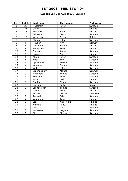### **Sweden Les Lion Cup 2003 / Sweden**

| Pos.            | <b>Points</b>           | Last name   | <b>First name</b> | Federation |
|-----------------|-------------------------|-------------|-------------------|------------|
| 1               | 30                      | Hellström   | Peter             | Sweden     |
| $\overline{a}$  | 21                      | Uotila      | Pasi              | Finland    |
| $\overline{3}$  | 18                      | Konsteri    | Sami              | Finland    |
| 4               | 15                      | Eriksson    | Marcus            | Sweden     |
| 5               | 12                      | Verbruggen  | Gerry             | Belgium    |
| 6               | 10                      | Mälman      | Johan             | Sweden     |
| $\overline{7}$  | 6                       | Haugen      | Kim               | Norway     |
| 8               | 6                       | Lehtonen    | Kimmo             | Finland    |
| 9               | 6                       | Mannonen    | Petri             | Finland    |
| 10              | 5                       | Öhman       | Anders            | Sweden     |
| 11              | $\overline{5}$          | Halme       | Ari               | Finland    |
| 12              | $\overline{5}$          | Åhlen       | Peter             | Sweden     |
| 13              | $\overline{\mathbf{4}}$ | Mack        | Tim               | Sweden     |
| 14              | $\overline{\mathbf{4}}$ | Appelberg   | Fredrik           | Sweden     |
| 15              | $\overline{4}$          | Wilander    | Dennie            | Sweden     |
| $\overline{16}$ | $\overline{4}$          | Wall        | John              | Sweden     |
| 17              | $\overline{4}$          | Braendeskov | Mikael            | Denmark    |
| 18              | $\overline{3}$          | Holmberg    | Tomas             | Sweden     |
| 19              | $\overline{3}$          | Eriksson    | Peter             | Sweden     |
| 20              | $\overline{3}$          | Ratia       | Jari              | Finland    |
| 21              | $\overline{3}$          | Gauffin     | Claes             | Sweden     |
| 22              | $\overline{3}$          | Hansen      | Petter            | Norway     |
| 23              | $\overline{2}$          | Leandersson | Tomas             | Sweden     |
| $\overline{24}$ | $\overline{2}$          | Luoto       | Mika              | Finland    |
| 25              | $\overline{2}$          | Wozny       | Martin            | Denmark    |
| 26              | $\overline{2}$          | Andersin    | Erik              | Sweden     |
| 27              | $\overline{2}$          | Vääninen    | Tomi              | Finland    |
| 28              | 1                       | Lax         | Anti Pekka        | Finland    |
| 29              | 1                       | Nurmilo     | Panu              | Finland    |
| 30              | 1                       | Jansson     | Ulf               | Sweden     |
| 31              | 1                       | Andersson   | Magnus            | Sweden     |
| 32              | 1                       | Blixt       | Martin            | Sweden     |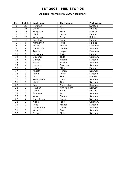### **Aalborg International 2003 / Denmark**

| Pos.            | <b>Points</b>            | Last name     | First name    | Federation |
|-----------------|--------------------------|---------------|---------------|------------|
| 1               | 30                       | Hoffman       | Bill          | Sweden     |
| $\overline{2}$  | 21                       | Uotila        | Pasi          | Finland    |
| 3               | 18                       | Torgersen     | Tore          | Norway     |
| 4               | 15                       | Liltilä       | Lasse         | Finland    |
| $\overline{5}$  | $\overline{12}$          | Verbruggen    | Gery          | Belgium    |
| 6               | 10                       | Konsteri      | Sami          | Finland    |
| $\overline{7}$  | 6                        | Mannonen      | Petri         | Finland    |
| 8               | 6                        | Wozny         | Martin        | Denmark    |
| 9               | 6                        | Danielsson    | Christer      | Sweden     |
| 10              | 5                        | Agerbo        | Jesper        | Denmark    |
| 11              | $\overline{5}$           | Palermaa      | Osku          | Finland    |
| 12              | $\overline{5}$           | Diesener      | Thilo         | Germany    |
| 13              | $\overline{\mathcal{A}}$ | Ohman         | Anders        | Sweden     |
| 14              | $\overline{\mathbf{4}}$  | <b>Backe</b>  | Patrick       | Sweden     |
| 15              | $\overline{4}$           | Jansson       | Raymond       | Sweden     |
| 16              | $\overline{\mathbf{4}}$  | Luoto         | Mika          | Finland    |
| 17              | $\overline{\mathbf{4}}$  | Klujeff       | Henrik        | Denmark    |
| 18              | 3                        | Ahlen         | Peter         | Sweden     |
| 19              | $\overline{3}$           | Alix          | Yoan          | France     |
| 20              | $\overline{3}$           | Kemppainen    | Jouni         | Sweden     |
| 21              | $\overline{3}$           | Mack          | Tim           | Sweden     |
| 22              | $\overline{3}$           | <b>Bak</b>    | Niels Jakob   | Denmark    |
| 23              | $\overline{2}$           | Haugen        | Kim Asbjorn   | Norway     |
| 24              | $\overline{2}$           | Luoto         | Sami          | Finland    |
| $\overline{25}$ | $\overline{2}$           | Svensson      | Par           | Sweden     |
| 26              | $\overline{2}$           | Yngstrom      | Stefan        | Sweden     |
| 27              | $\overline{2}$           | Gustafsson    | Roger         | Sweden     |
| 28              | 1                        | <b>Nickel</b> | Jens          | Germany    |
| 29              | 1                        | Roos          | Mikael        | Sweden     |
| 30              | 1                        | Linderholm    | <b>Niklas</b> | Sweden     |
| 31              | 1                        | Wikstrom      | Ove           | Sweden     |
| 32              | 1                        | Olsson        | Mats          | Sweden     |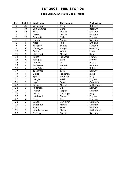### **Eden SuperBowl Malta Open / Malta**

| Pos.                     | <b>Points</b>           | Last name     | First name   | Federation    |
|--------------------------|-------------------------|---------------|--------------|---------------|
| 1                        | 30                      | Verbruggen    | Gery         | Belgium       |
| $\overline{a}$           | 21                      | Van Damme     | Chris        | Belgium       |
| $\overline{3}$           | 18                      | <b>Blixt</b>  | Martin       | Sweden        |
| $\overline{\mathcal{L}}$ | 15                      | Larsen        | Martin       | Sweden        |
| 5                        | 12                      | Froggatt      | <b>Nick</b>  | England       |
| 6                        | 10                      | Öhman         | Anders       | Sweden        |
| $\overline{7}$           | 6                       | Moor          | Paul         | England       |
| 8                        | 6                       | Karlsson      | Tobias       | Sweden        |
| 9                        | 6                       | Ohlrogge      | Holger       | Germany       |
| 10                       | $\overline{5}$          | Rabin         | Yahav        | <b>Israel</b> |
| 11                       | $\overline{5}$          | Malchiodi     | Mauro        | Italy         |
| 12                       | $\overline{5}$          | Sacco         | Francois     | France        |
| 13                       | $\overline{\mathbf{4}}$ | Faraglia      | Sam          | France        |
| 14                       | $\overline{\mathbf{4}}$ | Aviram        | <b>Or</b>    | Israel        |
| $\overline{15}$          | $\overline{4}$          | Andersson     | Robert       | Sweden        |
| $\overline{16}$          | $\overline{4}$          | van Eyken     | Yves         | Belgium       |
| 17                       | $\overline{4}$          | Torgersen     | Tore         | Norway        |
| 18                       | $\overline{3}$          | Geller        | Jonathan     | Israel        |
| 19                       | $\overline{3}$          | Spada         | Amadeo       | Italy         |
| 20                       | $\overline{3}$          | Hodge         | Keith        | England       |
| $\overline{21}$          | $\overline{3}$          | Lapp          | Peter        | Germany       |
| 22                       | $\overline{3}$          | Bijman        | Marco        | Netherlands   |
| 23                       | $\overline{2}$          | Pedersen      | Geir         | Norway        |
| $\overline{24}$          | $\overline{2}$          | Agerbo        | Jesper       | Denmark       |
| $\overline{25}$          | $\overline{2}$          | Conte         | Giuseppe     | Italy         |
| 26                       | $\overline{2}$          | Letchford     | <b>Steve</b> | England       |
| 27                       | $\overline{2}$          | Dew           | <b>Cliff</b> | England       |
| 28                       | $\mathbf{1}$            | Lubitz        | Benjamin     | Germany       |
| 29                       | 1                       | Bögehave      | Martin       | Denmark       |
| 30                       | 1                       | Sainio        | Peter        | Sweden        |
| 31                       | 1                       | van de Heuvel | Menno        | Netherlands   |
| 32                       | 1                       | Olofsson      | Roger        | Sweden        |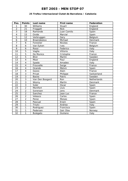#### **25 Trofeu Internacional Ciutat de Barcelona / Catalonia**

| Pos.                     | <b>Points</b>           | Last name       | <b>First name</b> | <b>Federation</b> |
|--------------------------|-------------------------|-----------------|-------------------|-------------------|
| 1                        | 30                      | Williams        | <b>Stuart</b>     | England           |
| $\overline{2}$           | 21                      | Froggatt        | <b>Nick</b>       | England           |
| $\overline{3}$           | 18                      | Ramonde         | Juan Camilo       | Spain             |
| $\overline{\mathcal{A}}$ | 15                      | Ovide           | Marcial           | Spain             |
| 5                        | 12                      | Verbruggen      | Gery              | Belgium           |
| 6                        | 10                      | Braendeskov     | Michael           | Denmark           |
| $\overline{7}$           | 6                       | Forestier       | Nicolas           | France            |
| 8                        | 6                       | Van Eyken       | Ives              | Belgium           |
| 9                        | 6                       | Rossi           | Federico          | Italy             |
| 10                       | $\overline{5}$          | Vaglia          | Vittorio          | Italy             |
| 11                       | $\overline{5}$          | De Munico       | Cristophe         | France            |
| 12                       | $\overline{5}$          | <b>Blixt</b>    | Martin            | Sweden            |
| 13                       | $\overline{4}$          | Moor            | Paul              | England           |
| 14                       | $\overline{4}$          | Spada           | Amadeo            | Italy             |
| 15                       | $\overline{4}$          | Frouvelle       | Serge             | France            |
| 16                       | 4                       | Ocando          | Melvin            | Spain             |
| 17                       | $\overline{\mathbf{4}}$ | Gozzo           | Alain             | France            |
| 18                       | $\overline{3}$          | Privat          | Philippe          | Switzerland       |
| 19                       | $\overline{3}$          | <b>Backe</b>    | Patric            | Sweden            |
| 20                       | $\overline{3}$          | Van Den Boogard | Ron               | Netherlands       |
| $\overline{21}$          | $\overline{3}$          | Wozny           | Martin            | Denmark           |
| 22                       | $\overline{3}$          | Soler           | Oscar             | Spain             |
| 23                       | $\overline{2}$          | Montfort        | Lluis             | Spain             |
| 24                       | $\overline{2}$          | Sorensen        | Jens              | Denmark           |
| $\overline{25}$          | $\overline{2}$          | Sanchez         | Jean Luc          | France            |
| 26                       | $\overline{2}$          | Velasco         | Carlos            | Spain             |
| 27                       | $\overline{2}$          | Perez           | Moises            | Spain             |
| 28                       | 1                       | Pascual         | Erwin             | Spain             |
| 29                       | 1                       | Triulci         | Andrea            | Italy             |
| 30                       | 1                       | Rodriguez       | Francisco         | Spain             |
| 31                       | 1                       | Pedersen        | Geir Olav         | Norway            |
| 32                       | 1                       | <b>Bulegato</b> | Giuliano          | Italy             |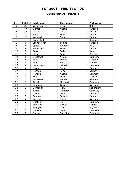#### **Danish Masters / Denmark**

| Pos.                     | <b>Points</b>           | Last name   | First name  | Federation |
|--------------------------|-------------------------|-------------|-------------|------------|
| 1                        | 30                      | Verbruggen  | Gery        | Belgium    |
| $\overline{2}$           | 21                      | Öhman       | Anders      | Sweden     |
| $\overline{3}$           | 18                      | Lintälä     | Lasse       | Finland    |
| $\overline{\mathcal{A}}$ | 15                      | Hahl        | Tom         | Finland    |
| 5                        | 12                      | Konsteri    | Sami        | Finland    |
| 6                        | 10                      | Brøndsted   | Kim         | Denmark    |
| $\overline{7}$           | 6                       | Leandersson | Tomas       | Sweden     |
| 8                        | 6                       | Spada       | Amedeo      | Italy      |
| $\overline{9}$           | 6                       | Manonnen    | Petri       | Finland    |
| 10                       | 5                       | Rossi       | Federico    | Italy      |
| 11                       | $\overline{5}$          | Moor        | Paul        | England    |
| 12                       | $\overline{5}$          | Grabowski   | Achim       | Germany    |
| 13                       | $\overline{\mathbf{4}}$ | Blixt       | Martin      | Sweden     |
| 14                       | $\overline{\mathbf{4}}$ | Pujol       | Bertrand    | France     |
| 15                       | $\overline{4}$          | Braendeskov | Mikael      | Denmark    |
| 16                       | $\overline{4}$          | Luoto       | Sami        | Finland    |
| 17                       | $\overline{\mathbf{4}}$ | Hansen      | Petter      | Norway     |
| 18                       | $\overline{3}$          | Hansen      | Anders      | Denmark    |
| 19                       | $\overline{3}$          | Eide        | Per Kr.     | Norway     |
| 20                       | $\overline{3}$          | Andersson   | Robert      | Sweden     |
| 21                       | $\overline{3}$          | Zabel       | Manfred     | Germany    |
| 22                       | $\overline{3}$          | Fransson    | Tony        | Sweden     |
| 23                       | $\overline{2}$          | Domenico    | Righi       | San Marino |
| 24                       | $\overline{2}$          | Nokel       | Christian   | Germany    |
| 25                       | $\overline{2}$          | Luoto       | Mika        | Finland    |
| 26                       | $\overline{2}$          | Salonen     | Petteri     | Finland    |
| 27                       | $\overline{2}$          | Carlsson    | Göran       | Sweden     |
| 28                       | 1                       | Günther     | Kai         | Germany    |
| 29                       | 1                       | Forestier   | Nicolas     | France     |
| 30                       | 1                       | Froggatt    | <b>Nick</b> | England    |
| 31                       | 1                       | Hansen      | Søren       | Denmark    |
| 32                       | 1                       | Garcia      | Cornelio    | Denmark    |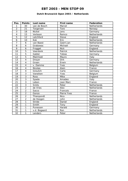### **Dutch Brunswick Open 2003 / Netherlands**

| Pos.                     | <b>Points</b>           | Last name     | <b>First name</b> | <b>Federation</b> |
|--------------------------|-------------------------|---------------|-------------------|-------------------|
| 1                        | 30                      | van de Bosch  | Marcel            | Netherlands       |
| $\overline{a}$           | 21                      | Torgersen     | Tore              | Norway            |
| 3                        | 18                      | Nickel        | Jens              | Germany           |
| $\overline{\mathcal{A}}$ | 15                      | Verboon       | Remco             | Netherlands       |
| 5                        | 12                      | Letchford     | <b>Steve</b>      | England           |
| $\overline{6}$           | 10                      | Kok           | Eric              | Netherlands       |
| $\overline{7}$           | 6                       | van Baest     | Geert Jan         | Netherlands       |
| 8                        | 6                       | Grabowac      | Michael           | Germany           |
| 9                        | 6                       | Frogget       | <b>Nick</b>       | England           |
| 10                       | $\overline{5}$          | Veerdonk      | Patrick           | Netherlands       |
| 11                       | $\overline{5}$          | Gabler        | Tobias            | Germany           |
| 12                       | $\overline{5}$          | Malchiodi     | Mauro             | Italy             |
| 13                       | $\overline{4}$          | Dreyer        | <b>Dirk</b>       | Germany           |
| 14                       | $\overline{\mathbf{4}}$ | Groen         | Erwin             | Netherlands       |
| 15                       | $\overline{4}$          | v. Damme      | Yves              | Belgium           |
| $\overline{16}$          | $\overline{4}$          | Nicolas       | Alain             | France            |
| 17                       | $\overline{4}$          | Greulich      | Carlo             | Germany           |
| 18                       | $\overline{3}$          | Vaneiken      | Yves              | Belgium           |
| 19                       | $\overline{3}$          | <b>Ross</b>   | Mike              | England           |
| 20                       | $\overline{3}$          | Spada         | Amadeo            | Italy             |
| 21                       | $\overline{3}$          | Lebon         | Jean Marc         | France            |
| 22                       | $\overline{3}$          | <b>Smits</b>  | Peter             | Netherlands       |
| 23                       | $\overline{2}$          | de Vries      | Alex              | Netherlands       |
| $\overline{24}$          | $\overline{2}$          | Sacco         | Francois          | France            |
| 25                       | $\overline{2}$          | Gonzo         | Pierre Yves       | France            |
| 26                       | $\overline{2}$          | Thienpondt    | <b>Nico</b>       | Netherlands       |
| 27                       | $\overline{2}$          | de Hoogen     | John              | Netherlands       |
| 28                       | $\mathbf{1}$            | <b>Stride</b> | Daniel            | England           |
| 29                       | 1                       | Smith         | Tony              | England           |
| 30                       | 1                       | Punessen      | Harald            | Germany           |
| 31                       | 1                       | v.d. Bogaard  | Ron               | Netherlands       |
| 32                       | 1                       | Lenders       | Peter             | Netherlands       |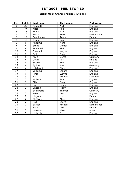### **British Open Championships / England**

| Pos.                     | <b>Points</b>            | Last name      | <b>First name</b> | Federation  |
|--------------------------|--------------------------|----------------|-------------------|-------------|
| 1                        | 30                       | Froggatt       | <b>Nick</b>       | England     |
| $\overline{a}$           | 21                       | Moor           | Paul              | England     |
| $\overline{3}$           | 18                       | Evans          | Paul              | England     |
| $\overline{\mathcal{A}}$ | 15                       | <b>Smits</b>   | Peter             | Netherlands |
| 5                        | 12                       | Raatikainen    | Teemu             | Finland     |
| 6                        | 10                       | Devlin         | Leon              | England     |
| $\overline{7}$           | 6                        | Anselmo        | Keith             | England     |
| 8                        | 6                        | <b>Stride</b>  | Daniel            | England     |
| 9                        | 6                        | Scammell       | Phil              | England     |
| 10                       | $\overline{5}$           | Greenall       | Wayne             | England     |
| 11                       | $\overline{5}$           | Parker         | Dave              | England     |
| 12                       | $\overline{5}$           | <b>Kreis</b>   | Bernd             | Germany     |
| 13                       | $\overline{\mathbf{4}}$  | Uotila         | Pasi              | Finland     |
| 14                       | $\overline{4}$           | <b>Staples</b> | Tont              | England     |
| 15                       | $\overline{4}$           | Sydow          | Ralf              | Germany     |
| 16                       | $\overline{\mathbf{4}}$  | Letchford      | <b>Steve</b>      | England     |
| 17                       | $\overline{\mathcal{A}}$ | Williams       | <b>Stuart</b>     | England     |
| 18                       | $\overline{3}$           | Finch          | Wayne             | England     |
| 19                       | $\overline{3}$           | Bai            | Michael           | Denmark     |
| 20                       | $\overline{3}$           | McArdle        | Paul              | England     |
| 21                       | $\overline{3}$           | <b>Ellis</b>   | Craig             | England     |
| 22                       | $\overline{3}$           | Haw            | Kevin             | England     |
| 23                       | $\overline{2}$           | Cheong         | Ricky             | England     |
| $\overline{24}$          | $\overline{2}$           | Schinkario     | Thomas            | Germany     |
| 25                       | $\overline{2}$           | Miller         | Matt              | England     |
| 26                       | $\overline{2}$           | Lingren        | Jussi             | Finland     |
| 27                       | $\overline{2}$           | McGlynn        | Mark              | England     |
| 28                       | $\mathbf{1}$             | Hall           | <b>Steve</b>      | England     |
| 29                       | 1                        | Sassen         | Michael           | Netherlands |
| 30                       | 1                        | Ratia          | Jari              | Finland     |
| 31                       | 1                        | Vaisman        | Alan              | Israel      |
| 32                       | 1                        | Highgate       | Neil              | England     |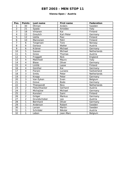### **Vienna Open / Austria**

| Pos.                     | <b>Points</b>           | Last name     | <b>First name</b> | Federation  |
|--------------------------|-------------------------|---------------|-------------------|-------------|
| 1                        | 30                      | Öhman         | Anders            | Sweden      |
| $\overline{2}$           | 21                      | Spada         | Amedeo            | Italy       |
| $\overline{3}$           | 18                      | Virtanen      | Kai               | Finland     |
| $\overline{\mathcal{L}}$ | 15                      | Greulich      | Karl-Peter        | Germany     |
| 5                        | 12                      | Uotila        | Pasi              | Finland     |
| 6                        | 10                      | Mannonen      | Petri             | Finland     |
| $\overline{7}$           | 6                       | Torgersen     | Tore              | Norway      |
| 8                        | 6                       | Gonaus        | Walter            | Austria     |
| 9                        | 6                       | Krämer        | Michael           | Germany     |
| 10                       | 5                       | Sassen        | Michael           | Netherlands |
| 11                       | $\overline{5}$          | Gross         | Thomas            | Austria     |
| 12                       | $\overline{5}$          | Froggatt      | <b>Nick</b>       | England     |
| 13                       | $\overline{\mathbf{4}}$ | Malchiodi     | Mauro             | Italy       |
| 14                       | $\overline{4}$          | <b>Blase</b>  | Oliver            | Germany     |
| 15                       | $\overline{\mathbf{4}}$ | Lintilä       | Lasse             | Finland     |
| $\overline{16}$          | $\overline{\mathbf{4}}$ | Günther       | Kai               | Germany     |
| 17                       | $\overline{\mathbf{4}}$ | Fiorani       | Luciano           | Switzerland |
| 18                       | $\overline{3}$          | Smits         | Peter             | Netherlands |
| 19                       | $\overline{3}$          | Knopp         | Peter             | Germany     |
| 20                       | $\overline{3}$          | Van Eyken     | Sven              | Belgium     |
| $\overline{21}$          | $\overline{3}$          | Greve         | <b>Bodo</b>       | Germany     |
| 22                       | $\overline{3}$          | Thienpondt    | <b>Nico</b>       | Netherlands |
| 23                       | $\overline{2}$          | Fleischhacker | Gerhard           | Austria     |
| $\overline{24}$          | $\overline{2}$          | Michajlow     | Michael           | Germany     |
| $\overline{25}$          | $\overline{2}$          | Konsteri      | Sami              | Finland     |
| 26                       | $\overline{2}$          | Gröger        | Markus            | Germany     |
| 27                       | $\overline{2}$          | Grundschober  | Leo               | Austria     |
| 28                       | 1                       | Bernhard      | Oliver            | Germany     |
| 29                       | 1                       | Anderson      | Robert            | Sweden      |
| 30                       | $\mathbf{1}$            | Larsen        | Martin            | Sweden      |
| 31                       | 1                       | Schröder      | Nikolai           | Austria     |
| 32                       | 1                       | Lebon         | Jean-Marc         | Belgium     |